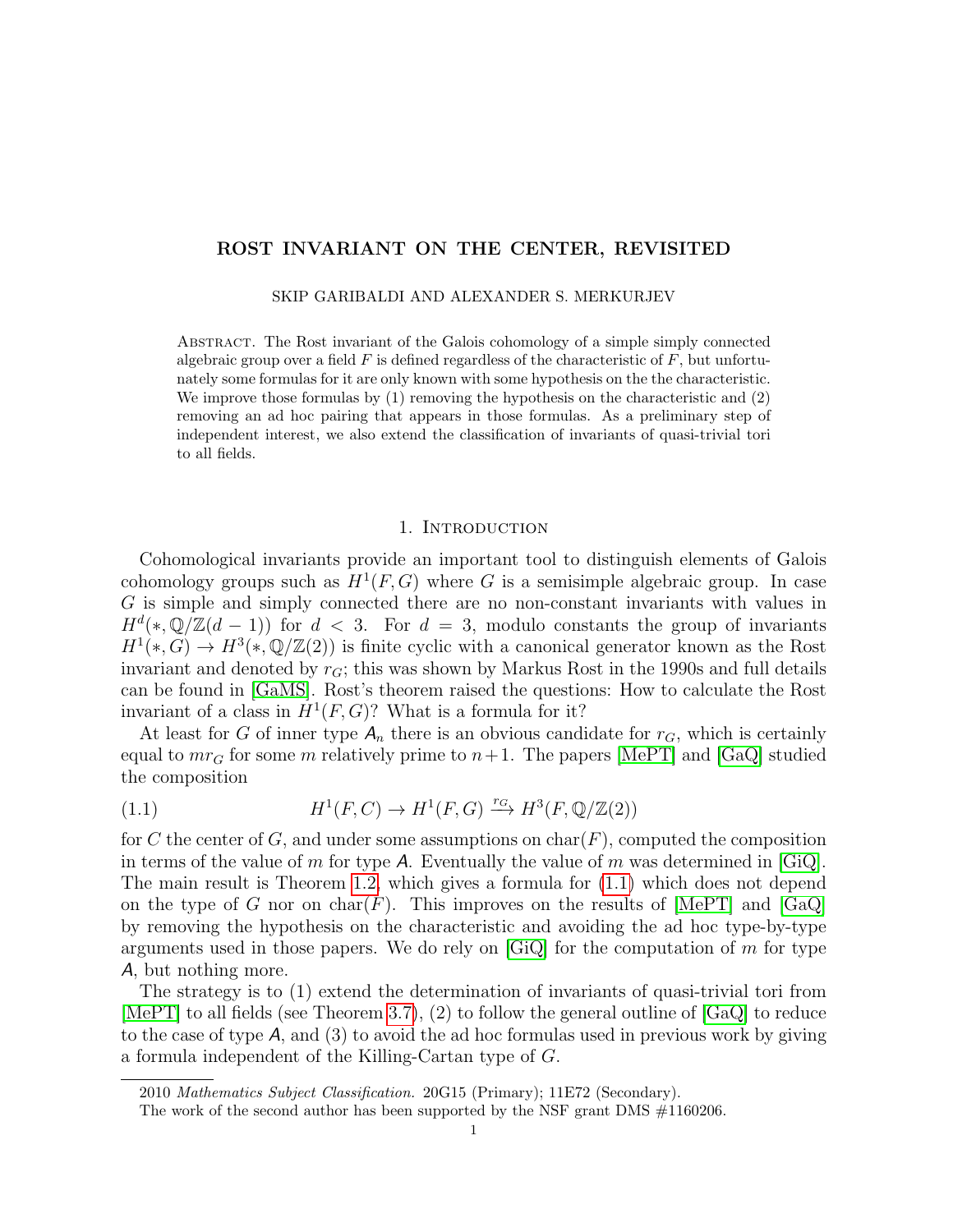# ROST INVARIANT ON THE CENTER, REVISITED

SKIP GARIBALDI AND ALEXANDER S. MERKURJEV

Abstract. The Rost invariant of the Galois cohomology of a simple simply connected algebraic group over a field  $F$  is defined regardless of the characteristic of  $F$ , but unfortunately some formulas for it are only known with some hypothesis on the the characteristic. We improve those formulas by  $(1)$  removing the hypothesis on the characteristic and  $(2)$ removing an ad hoc pairing that appears in those formulas. As a preliminary step of independent interest, we also extend the classification of invariants of quasi-trivial tori to all fields.

#### 1. Introduction

Cohomological invariants provide an important tool to distinguish elements of Galois cohomology groups such as  $H^1(F, G)$  where G is a semisimple algebraic group. In case G is simple and simply connected there are no non-constant invariants with values in  $H^{d}(*, \mathbb{Q}/\mathbb{Z}(d-1))$  for  $d < 3$ . For  $d = 3$ , modulo constants the group of invariants  $H^1(*,G) \to H^3(*, \mathbb{Q}/\mathbb{Z}(2))$  is finite cyclic with a canonical generator known as the Rost invariant and denoted by  $r_G$ ; this was shown by Markus Rost in the 1990s and full details can be found in [\[GaMS\]](#page-24-0). Rost's theorem raised the questions: How to calculate the Rost invariant of a class in  $H^1(F, G)$ ? What is a formula for it?

At least for G of inner type  $A_n$  there is an obvious candidate for  $r_G$ , which is certainly equal to  $mr_G$  for some m relatively prime to  $n+1$ . The papers [\[MePT\]](#page-25-0) and [\[GaQ\]](#page-24-1) studied the composition

<span id="page-0-0"></span>(1.1) 
$$
H^1(F, C) \to H^1(F, G) \xrightarrow{r_G} H^3(F, \mathbb{Q}/\mathbb{Z}(2))
$$

for C the center of G, and under some assumptions on  $char(F)$ , computed the composition in terms of the value of m for type A. Eventually the value of m was determined in  $[\text{GiQ}]$ . The main result is Theorem [1.2,](#page-1-0) which gives a formula for [\(1.1\)](#page-0-0) which does not depend on the type of G nor on char(F). This improves on the results of  $[MePT]$  and  $[GaQ]$ by removing the hypothesis on the characteristic and avoiding the ad hoc type-by-type arguments used in those papers. We do rely on  $[GQ]$  for the computation of m for type A, but nothing more.

The strategy is to (1) extend the determination of invariants of quasi-trivial tori from [\[MePT\]](#page-25-0) to all fields (see Theorem [3.7\)](#page-8-0), (2) to follow the general outline of [\[GaQ\]](#page-24-1) to reduce to the case of type  $A$ , and  $(3)$  to avoid the ad hoc formulas used in previous work by giving a formula independent of the Killing-Cartan type of G.

<sup>2010</sup> Mathematics Subject Classification. 20G15 (Primary); 11E72 (Secondary).

The work of the second author has been supported by the NSF grant DMS #1160206.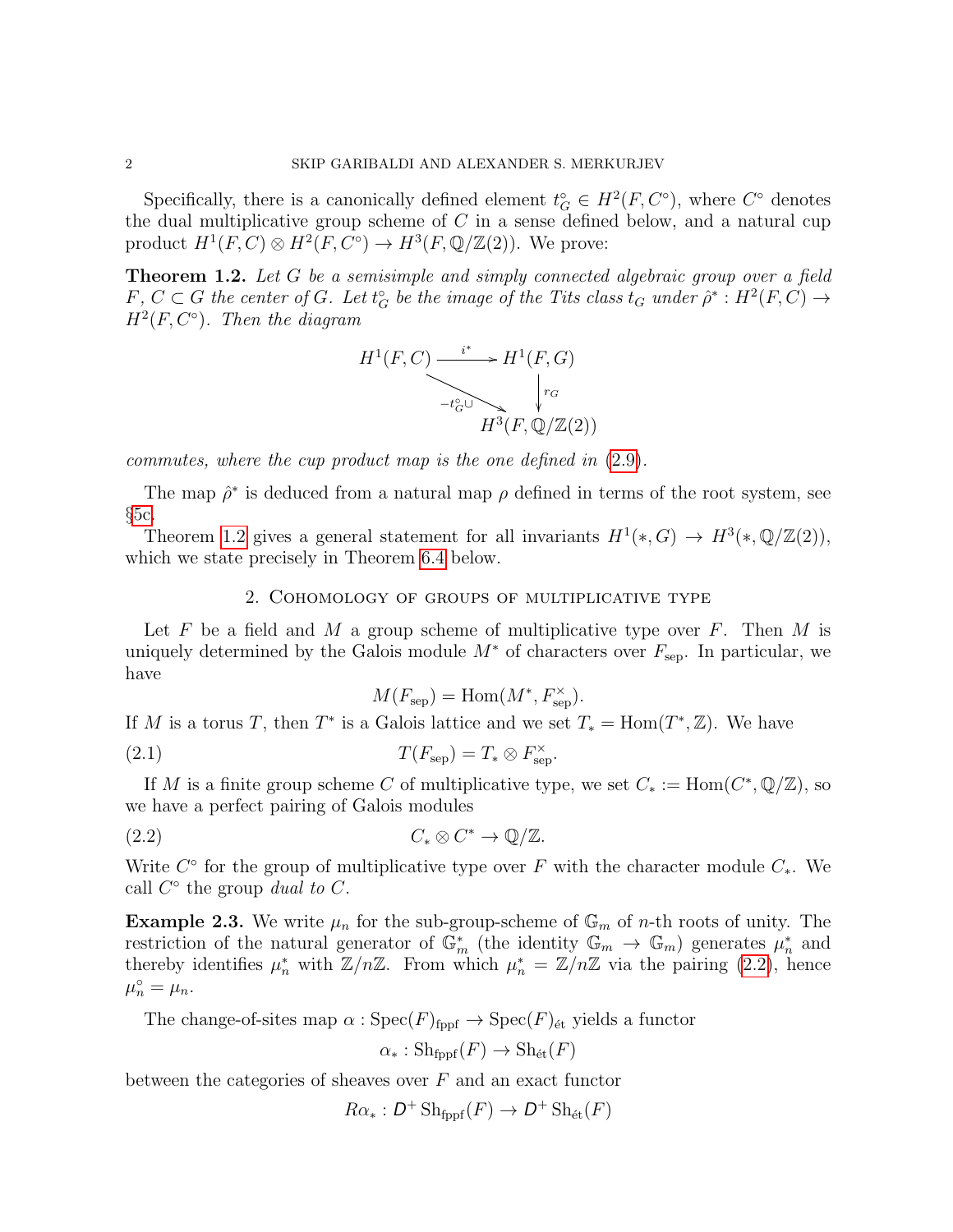Specifically, there is a canonically defined element  $t_G^{\circ} \in H^2(F, C^{\circ})$ , where  $C^{\circ}$  denotes the dual multiplicative group scheme of  $C$  in a sense defined below, and a natural cup product  $H^1(F, C) \otimes H^2(F, C^{\circ}) \to H^3(F, \mathbb{Q}/\mathbb{Z}(2))$ . We prove:

<span id="page-1-0"></span>**Theorem 1.2.** Let G be a semisimple and simply connected algebraic group over a field  $F, C \subset G$  the center of  $G$ . Let  $t_G^{\circ}$  be the image of the Tits class  $t_G$  under  $\hat{\rho}^* : H^2(F, C) \to$  $H^2(F, C^{\circ})$ . Then the diagram



commutes, where the cup product map is the one defined in [\(2.9\)](#page-3-0).

The map  $\hat{\rho}^*$  is deduced from a natural map  $\rho$  defined in terms of the root system, see  $§5c.$  $§5c.$ 

Theorem [1.2](#page-1-0) gives a general statement for all invariants  $H^1(*,G) \to H^3(*,\mathbb{Q}/\mathbb{Z}(2)),$ which we state precisely in Theorem [6.4](#page-15-0) below.

## 2. Cohomology of groups of multiplicative type

Let F be a field and M a group scheme of multiplicative type over F. Then M is uniquely determined by the Galois module  $M^*$  of characters over  $F_{\text{sep}}$ . In particular, we have

<span id="page-1-2"></span><span id="page-1-1"></span>
$$
M(F_{\text{sep}}) = \text{Hom}(M^*, F_{\text{sep}}^{\times}).
$$

If M is a torus T, then  $T^*$  is a Galois lattice and we set  $T_* = \text{Hom}(T^*, \mathbb{Z})$ . We have

(2.1) 
$$
T(F_{\rm sep}) = T_* \otimes F_{\rm sep}^{\times}.
$$

If M is a finite group scheme C of multiplicative type, we set  $C_* := \text{Hom}(C^*, \mathbb{Q}/\mathbb{Z})$ , so we have a perfect pairing of Galois modules

$$
(2.2) \tC_* \otimes C^* \to \mathbb{Q}/\mathbb{Z}.
$$

Write  $C^{\circ}$  for the group of multiplicative type over F with the character module  $C_{*}$ . We call  $C^{\circ}$  the group dual to C.

**Example 2.3.** We write  $\mu_n$  for the sub-group-scheme of  $\mathbb{G}_m$  of *n*-th roots of unity. The restriction of the natural generator of  $\mathbb{G}_m^*$  (the identity  $\mathbb{G}_m \to \mathbb{G}_m$ ) generates  $\mu_n^*$  and thereby identifies  $\mu_n^*$  with  $\mathbb{Z}/n\mathbb{Z}$ . From which  $\mu_n^* = \mathbb{Z}/n\mathbb{Z}$  via the pairing [\(2.2\)](#page-1-1), hence  $\mu_n^{\circ} = \mu_n.$ 

The change-of-sites map  $\alpha$ : Spec $(F)_{\text{fppf}} \to \text{Spec}(F)_{\text{\'et}}$  yields a functor

$$
\alpha_* : \mathrm{Sh}_{\mathrm{fppf}}(F) \to \mathrm{Sh}_{\mathrm{\acute{e}t}}(F)
$$

between the categories of sheaves over  $F$  and an exact functor

$$
R\alpha_* : D^+ \operatorname{Sh}_{\text{fppf}}(F) \to D^+ \operatorname{Sh}_{\text{\'et}}(F)
$$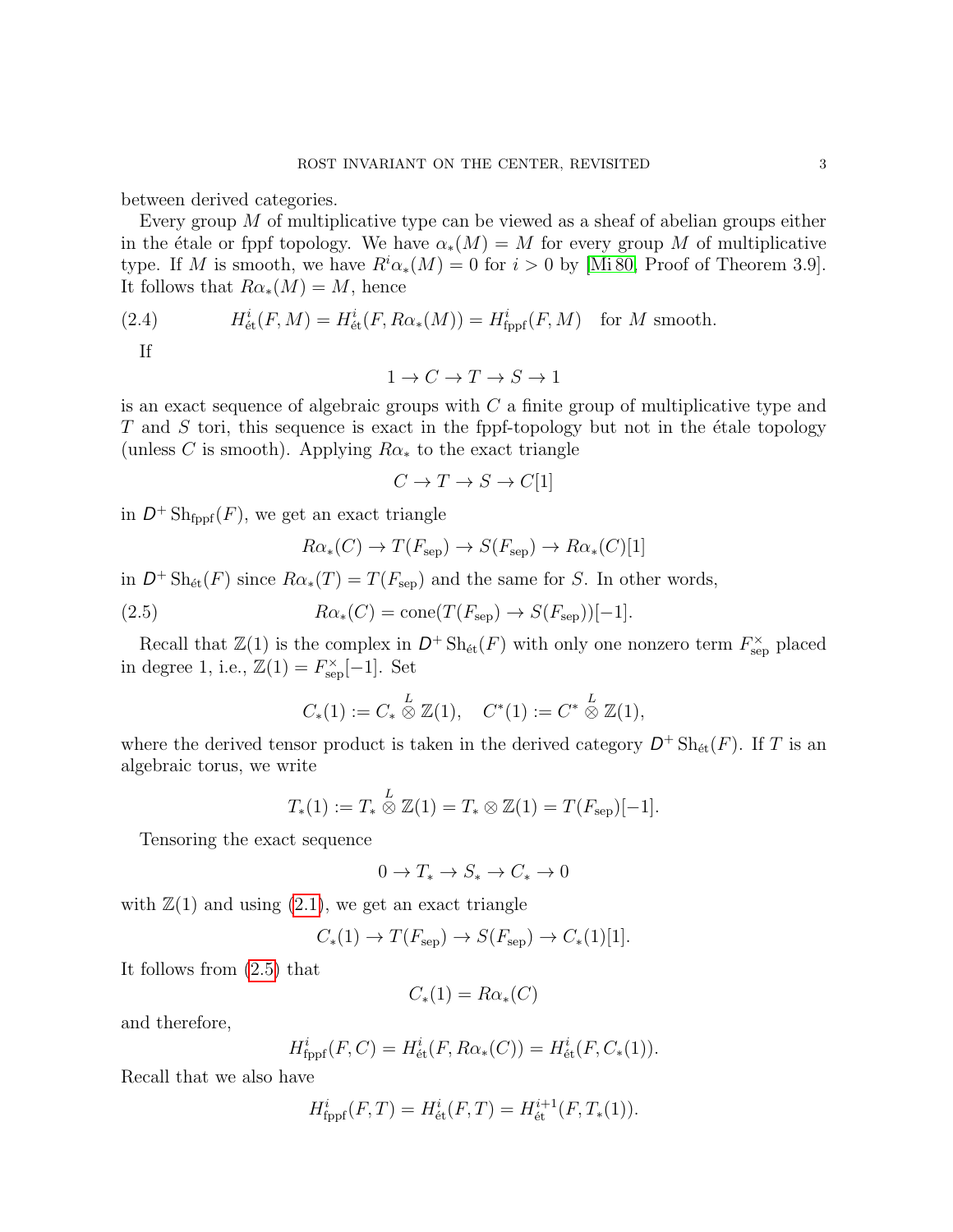between derived categories.

Every group  $M$  of multiplicative type can be viewed as a sheaf of abelian groups either in the étale or fppf topology. We have  $\alpha_*(M) = M$  for every group M of multiplicative type. If M is smooth, we have  $R^i\alpha_*(M) = 0$  for  $i > 0$  by [\[Mi 80,](#page-25-1) Proof of Theorem 3.9]. It follows that  $R\alpha_*(M) = M$ , hence

(2.4) 
$$
H^i_{\text{\'et}}(F,M) = H^i_{\text{\'et}}(F,R\alpha_*(M)) = H^i_{\text{fppf}}(F,M) \text{ for } M \text{ smooth.}
$$

<span id="page-2-1"></span>If

 $1 \rightarrow C \rightarrow T \rightarrow S \rightarrow 1$ 

is an exact sequence of algebraic groups with  $C$  a finite group of multiplicative type and  $T$  and  $S$  tori, this sequence is exact in the fppf-topology but not in the étale topology (unless C is smooth). Applying  $R\alpha_*$  to the exact triangle

$$
C \to T \to S \to C[1]
$$

in  $D^+$  Sh<sub>fppf</sub> $(F)$ , we get an exact triangle

<span id="page-2-0"></span>
$$
R\alpha_*(C) \to T(F_{\text{sep}}) \to S(F_{\text{sep}}) \to R\alpha_*(C)[1]
$$

in  $D^+$  Sh<sub>ét</sub>(F) since  $R\alpha_*(T) = T(F_{\text{sep}})$  and the same for S. In other words,

(2.5) 
$$
R\alpha_*(C) = \text{cone}(T(F_{\text{sep}}) \to S(F_{\text{sep}}))[-1].
$$

Recall that  $\mathbb{Z}(1)$  is the complex in  $D^+ \text{Sh}_{\text{\'et}}(F)$  with only one nonzero term  $F_{\text{sep}}^{\times}$  placed in degree 1, i.e.,  $\mathbb{Z}(1) = F_{\text{sep}}^{\times}[-1]$ . Set

$$
C_*(1) := C_* \overset{L}{\otimes} \mathbb{Z}(1), \quad C^*(1) := C^* \overset{L}{\otimes} \mathbb{Z}(1),
$$

where the derived tensor product is taken in the derived category  $D^+ \text{Sh}_{\text{\'et}}(F)$ . If T is an algebraic torus, we write

$$
T_*(1) := T_* \overset{L}{\otimes} \mathbb{Z}(1) = T_* \otimes \mathbb{Z}(1) = T(F_{\text{sep}})[-1].
$$

Tensoring the exact sequence

$$
0 \to T_* \to S_* \to C_* \to 0
$$

with  $\mathbb{Z}(1)$  and using  $(2.1)$ , we get an exact triangle

$$
C_*(1) \to T(F_{\text{sep}}) \to S(F_{\text{sep}}) \to C_*(1)[1].
$$

It follows from [\(2.5\)](#page-2-0) that

$$
C_*(1) = R\alpha_*(C)
$$

and therefore,

$$
H_{\rm fppf}^i(F, C) = H_{\rm \acute{e}t}^i(F, R\alpha_*(C)) = H_{\rm \acute{e}t}^i(F, C_*(1)).
$$

Recall that we also have

$$
H_{\rm fppf}^i(F,T) = H_{\rm \acute{e}t}^i(F,T) = H_{\rm \acute{e}t}^{i+1}(F,T_*(1)).
$$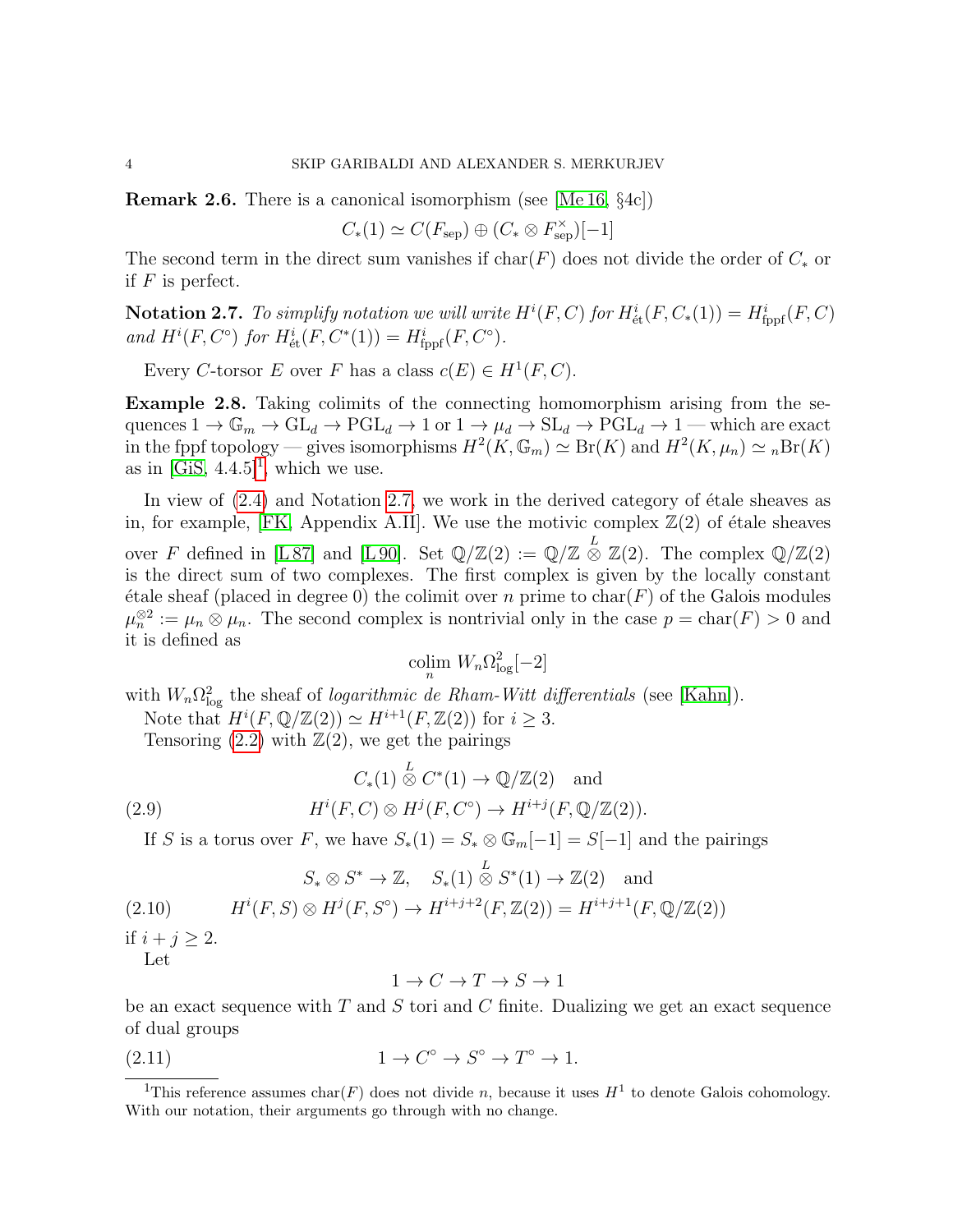**Remark 2.6.** There is a canonical isomorphism (see [\[Me 16,](#page-25-2)  $\S$ 4c])

$$
C_*(1) \simeq C(F_{\mathrm{sep}}) \oplus (C_* \otimes F_{\mathrm{sep}}^{\times})[-1]
$$

The second term in the direct sum vanishes if  $char(F)$  does not divide the order of  $C_*$  or if  $F$  is perfect.

<span id="page-3-2"></span>**Notation 2.7.** To simplify notation we will write  $H^{i}(F, C)$  for  $H^{i}_{\text{\'et}}(F, C_*(1)) = H^{i}_{\text{fppf}}(F, C)$ and  $H^{i}(F, C^{\circ})$  for  $H^{i}_{\text{\'et}}(F, C^{*}(1)) = H^{i}_{\text{fppf}}(F, C^{\circ}).$ 

Every C-torsor E over F has a class  $c(E) \in H^1(F, C)$ .

Example 2.8. Taking colimits of the connecting homomorphism arising from the sequences  $1 \to \mathbb{G}_m \to \mathrm{GL}_d \to \mathrm{PGL}_d \to 1$  or  $1 \to \mu_d \to \mathrm{SL}_d \to \mathrm{PGL}_d \to 1$  — which are exact in the fppf topology — gives isomorphisms  $H^2(K, \mathbb{G}_m) \simeq \text{Br}(K)$  and  $H^2(K, \mu_n) \simeq {}_n\text{Br}(K)$ as in  $[GiS, 4.4.5]^1$  $[GiS, 4.4.5]^1$ , which we use.

In view of  $(2.4)$  and Notation [2.7,](#page-3-2) we work in the derived category of étale sheaves as in, for example, [\[FK,](#page-24-4) Appendix A.II]. We use the motivic complex  $\mathbb{Z}(2)$  of étale sheaves over F defined in [\[L 87\]](#page-25-3) and [\[L 90\]](#page-25-4). Set  $\mathbb{Q}/\mathbb{Z}(2) := \mathbb{Q}/\mathbb{Z} \stackrel{L}{\otimes} \mathbb{Z}(2)$ . The complex  $\mathbb{Q}/\mathbb{Z}(2)$ is the direct sum of two complexes. The first complex is given by the locally constant  $\acute{e}$ tale sheaf (placed in degree 0) the colimit over n prime to char(F) of the Galois modules  $\mu_n^{\otimes 2} := \mu_n \otimes \mu_n$ . The second complex is nontrivial only in the case  $p = \text{char}(F) > 0$  and it is defined as

$$
\operatornamewithlimits{colim}_n W_n \Omega^2_{\log}[-2]
$$

with  $W_n \Omega_{\log}^2$  the sheaf of *logarithmic de Rham-Witt differentials* (see [\[Kahn\]](#page-25-5)). Note that  $H^i(F, \mathbb{Q}/\mathbb{Z}(2)) \simeq H^{i+1}(F, \mathbb{Z}(2))$  for  $i \geq 3$ .

Tensoring  $(2.2)$  with  $\mathbb{Z}(2)$ , we get the pairings

<span id="page-3-0"></span>(2.9) 
$$
C_*(1) \stackrel{L}{\otimes} C^*(1) \to \mathbb{Q}/\mathbb{Z}(2) \text{ and}
$$

$$
H^i(F, C) \otimes H^j(F, C^{\circ}) \to H^{i+j}(F, \mathbb{Q}/\mathbb{Z}(2)).
$$

If S is a torus over F, we have  $S_*(1) = S_* \otimes \mathbb{G}_m[-1] = S[-1]$  and the pairings

$$
S_* \otimes S^* \to \mathbb{Z}, \quad S_*(1) \stackrel{L}{\otimes} S^*(1) \to \mathbb{Z}(2)
$$
 and

<span id="page-3-3"></span>
$$
(2.10) \tHi(F, S) \otimes Hj(F, So) \to Hi+j+2(F, \mathbb{Z}(2)) = Hi+j+1(F, \mathbb{Q}/\mathbb{Z}(2))
$$

if  $i + j \geq 2$ .

Let

<span id="page-3-4"></span>
$$
1 \to C \to T \to S \to 1
$$

be an exact sequence with  $T$  and  $S$  tori and  $C$  finite. Dualizing we get an exact sequence of dual groups

$$
(2.11) \t1 \to C^{\circ} \to S^{\circ} \to T^{\circ} \to 1.
$$

<span id="page-3-1"></span><sup>&</sup>lt;sup>1</sup>This reference assumes char(F) does not divide n, because it uses  $H<sup>1</sup>$  to denote Galois cohomology. With our notation, their arguments go through with no change.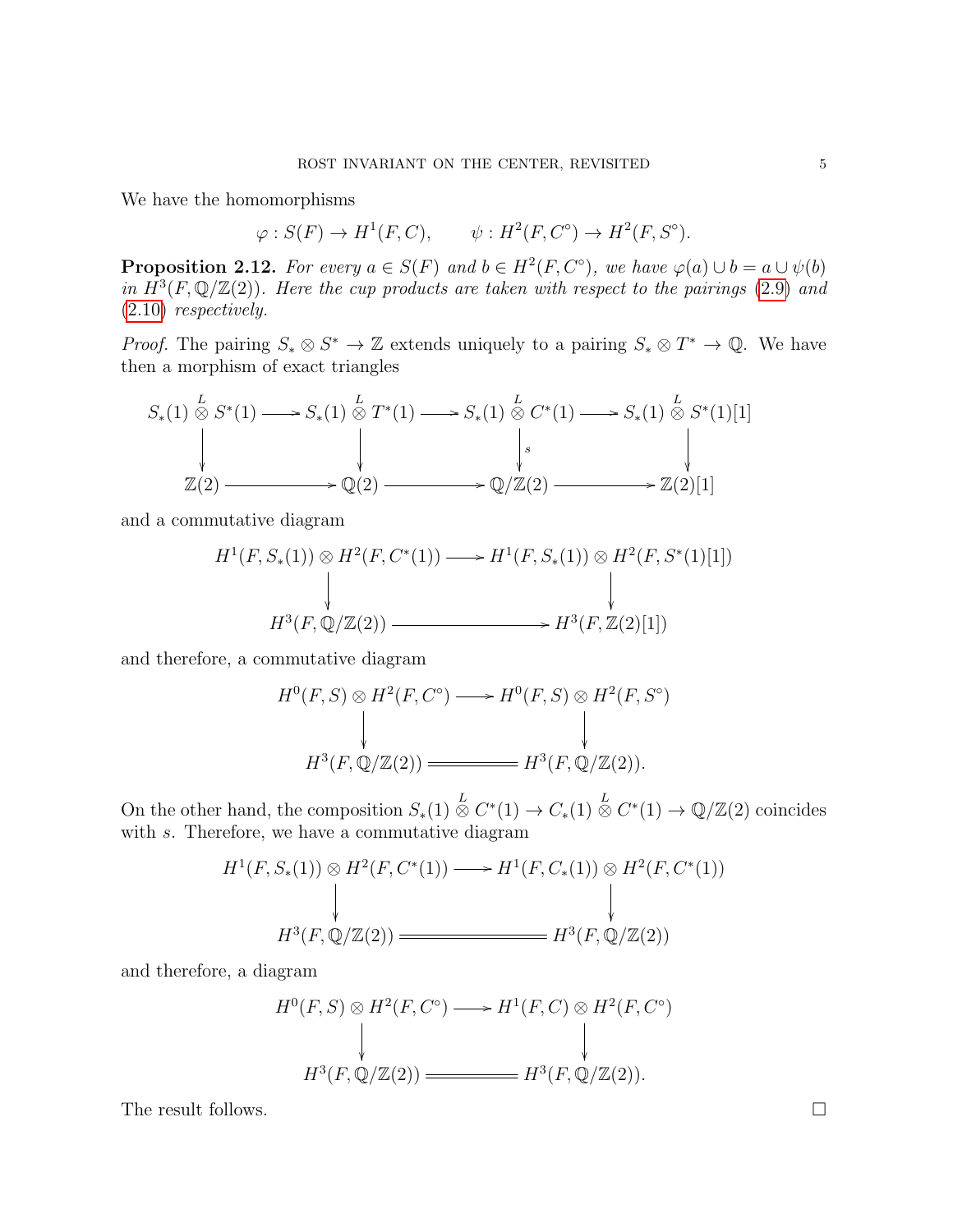We have the homomorphisms

 $\varphi: S(F) \to H^1(F, C), \qquad \psi: H^2(F, C^{\circ}) \to H^2(F, S^{\circ}).$ 

<span id="page-4-0"></span>**Proposition 2.12.** For every  $a \in S(F)$  and  $b \in H^2(F, C^{\circ})$ , we have  $\varphi(a) \cup b = a \cup \psi(b)$ in  $H^3(F, \mathbb{Q}/\mathbb{Z}(2))$ . Here the cup products are taken with respect to the pairings [\(2.9\)](#page-3-0) and [\(2.10\)](#page-3-3) respectively.

*Proof.* The pairing  $S_* \otimes S^* \to \mathbb{Z}$  extends uniquely to a pairing  $S_* \otimes T^* \to \mathbb{Q}$ . We have then a morphism of exact triangles

$$
S_*(1) \overset{L}{\otimes} S^*(1) \longrightarrow S_*(1) \overset{L}{\otimes} T^*(1) \longrightarrow S_*(1) \overset{L}{\otimes} C^*(1) \longrightarrow S_*(1) \overset{L}{\otimes} S^*(1)[1]
$$
  
\n
$$
\downarrow \qquad \qquad \downarrow \qquad \qquad \downarrow
$$
  
\n
$$
\mathbb{Z}(2) \longrightarrow \mathbb{Q}(2) \longrightarrow \mathbb{Q}/\mathbb{Z}(2) \longrightarrow \mathbb{Z}(2)[1]
$$

and a commutative diagram

$$
H^{1}(F, S_{*}(1)) \otimes H^{2}(F, C^{*}(1)) \longrightarrow H^{1}(F, S_{*}(1)) \otimes H^{2}(F, S^{*}(1)[1])
$$
  
\n
$$
\downarrow \qquad \qquad \downarrow
$$
  
\n
$$
H^{3}(F, \mathbb{Q}/\mathbb{Z}(2)) \longrightarrow H^{3}(F, \mathbb{Z}(2)[1])
$$

and therefore, a commutative diagram

$$
H^{0}(F, S) \otimes H^{2}(F, C^{\circ}) \longrightarrow H^{0}(F, S) \otimes H^{2}(F, S^{\circ})
$$
  
\n
$$
H^{3}(F, \mathbb{Q}/\mathbb{Z}(2)) \longrightarrow H^{3}(F, \mathbb{Q}/\mathbb{Z}(2)).
$$

)

On the other hand, the composition  $S_*(1) \overset{L}{\otimes} C^*(1) \to C_*(1) \overset{L}{\otimes} C^*(1) \to \mathbb{Q}/\mathbb{Z}(2)$  coincides with s. Therefore, we have a commutative diagram

$$
H^1(F, S_*(1)) \otimes H^2(F, C^*(1)) \longrightarrow H^1(F, C_*(1)) \otimes H^2(F, C^*(1))
$$
  
\n
$$
\downarrow \qquad \qquad \downarrow
$$
  
\n
$$
H^3(F, \mathbb{Q}/\mathbb{Z}(2)) \longrightarrow H^3(F, \mathbb{Q}/\mathbb{Z}(2))
$$

and therefore, a diagram

$$
H^{0}(F, S) \otimes H^{2}(F, C^{\circ}) \longrightarrow H^{1}(F, C) \otimes H^{2}(F, C^{\circ})
$$
  
\n
$$
H^{3}(F, \mathbb{Q}/\mathbb{Z}(2)) \longrightarrow H^{3}(F, \mathbb{Q}/\mathbb{Z}(2)).
$$

The result follows.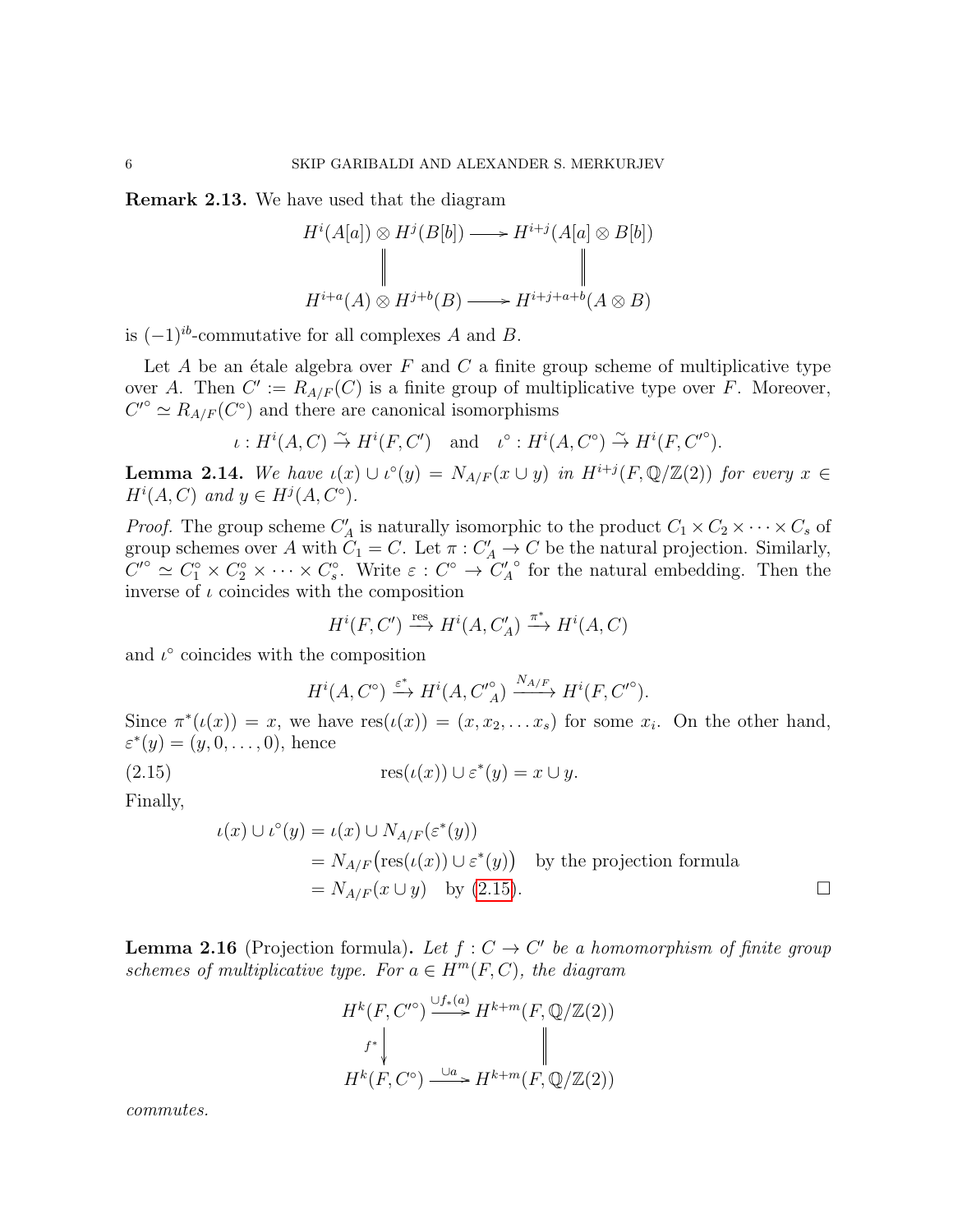<span id="page-5-2"></span>Remark 2.13. We have used that the diagram

$$
H^{i}(A[a]) \otimes H^{j}(B[b]) \longrightarrow H^{i+j}(A[a] \otimes B[b])
$$
  
\n
$$
\parallel \qquad \qquad \parallel
$$
  
\n
$$
H^{i+a}(A) \otimes H^{j+b}(B) \longrightarrow H^{i+j+a+b}(A \otimes B)
$$

is  $(-1)^{ib}$ -commutative for all complexes A and B.

Let A be an étale algebra over F and C a finite group scheme of multiplicative type over A. Then  $C' := R_{A/F}(C)$  is a finite group of multiplicative type over F. Moreover,  $C^{\prime\circ} \simeq R_{A/F}(C^{\circ})$  and there are canonical isomorphisms

$$
\iota: H^i(A,C) \stackrel{\sim}{\to} H^i(F,C') \quad \text{and} \quad \iota^{\circ}: H^i(A,C^{\circ}) \stackrel{\sim}{\to} H^i(F,C'^{\circ}).
$$

<span id="page-5-1"></span>**Lemma 2.14.** We have  $\iota(x) \cup \iota^{\circ}(y) = N_{A/F}(x \cup y)$  in  $H^{i+j}(F, \mathbb{Q}/\mathbb{Z}(2))$  for every  $x \in$  $H^i(A, C)$  and  $y \in H^j(A, C^{\circ}).$ 

*Proof.* The group scheme  $C'_A$  is naturally isomorphic to the product  $C_1 \times C_2 \times \cdots \times C_s$  of group schemes over A with  $C_1 = C$ . Let  $\pi : C'_A \to C$  be the natural projection. Similarly,  $C^{0} \simeq C_1^{\circ} \times C_2^{\circ} \times \cdots \times C_s^{\circ}$ . Write  $\varepsilon : C^{\circ} \to C_A^{\prime}$ ◦ for the natural embedding. Then the inverse of  $\iota$  coincides with the composition

$$
H^i(F, C') \xrightarrow{\text{res}} H^i(A, C'_A) \xrightarrow{\pi^*} H^i(A, C)
$$

and  $\iota^{\circ}$  coincides with the composition

<span id="page-5-0"></span>
$$
H^{i}(A, C^{\circ}) \xrightarrow{\varepsilon^{*}} H^{i}(A, C'^{\circ}_{A}) \xrightarrow{N_{A/F}} H^{i}(F, C'^{\circ}).
$$

Since  $\pi^*(\iota(x)) = x$ , we have  $res(\iota(x)) = (x, x_2, \ldots x_s)$  for some  $x_i$ . On the other hand,  $\varepsilon^*(y) = (y, 0, \ldots, 0)$ , hence

(2.15) 
$$
\operatorname{res}(\iota(x)) \cup \varepsilon^*(y) = x \cup y.
$$

Finally,

$$
\iota(x) \cup \iota^{\circ}(y) = \iota(x) \cup N_{A/F}(\varepsilon^*(y))
$$
  
=  $N_{A/F}(\text{res}(\iota(x)) \cup \varepsilon^*(y))$  by the projection formula  
=  $N_{A/F}(x \cup y)$  by (2.15).

<span id="page-5-3"></span>**Lemma 2.16** (Projection formula). Let  $f: C \to C'$  be a homomorphism of finite group schemes of multiplicative type. For  $a \in H^m(F, C)$ , the diagram

$$
H^k(F, C'^{\circ}) \xrightarrow{\cup f_*(a)} H^{k+m}(F, \mathbb{Q}/\mathbb{Z}(2))
$$
  

$$
f^* \downarrow \qquad \qquad \parallel
$$
  

$$
H^k(F, C^{\circ}) \xrightarrow{\cup a} H^{k+m}(F, \mathbb{Q}/\mathbb{Z}(2))
$$

commutes.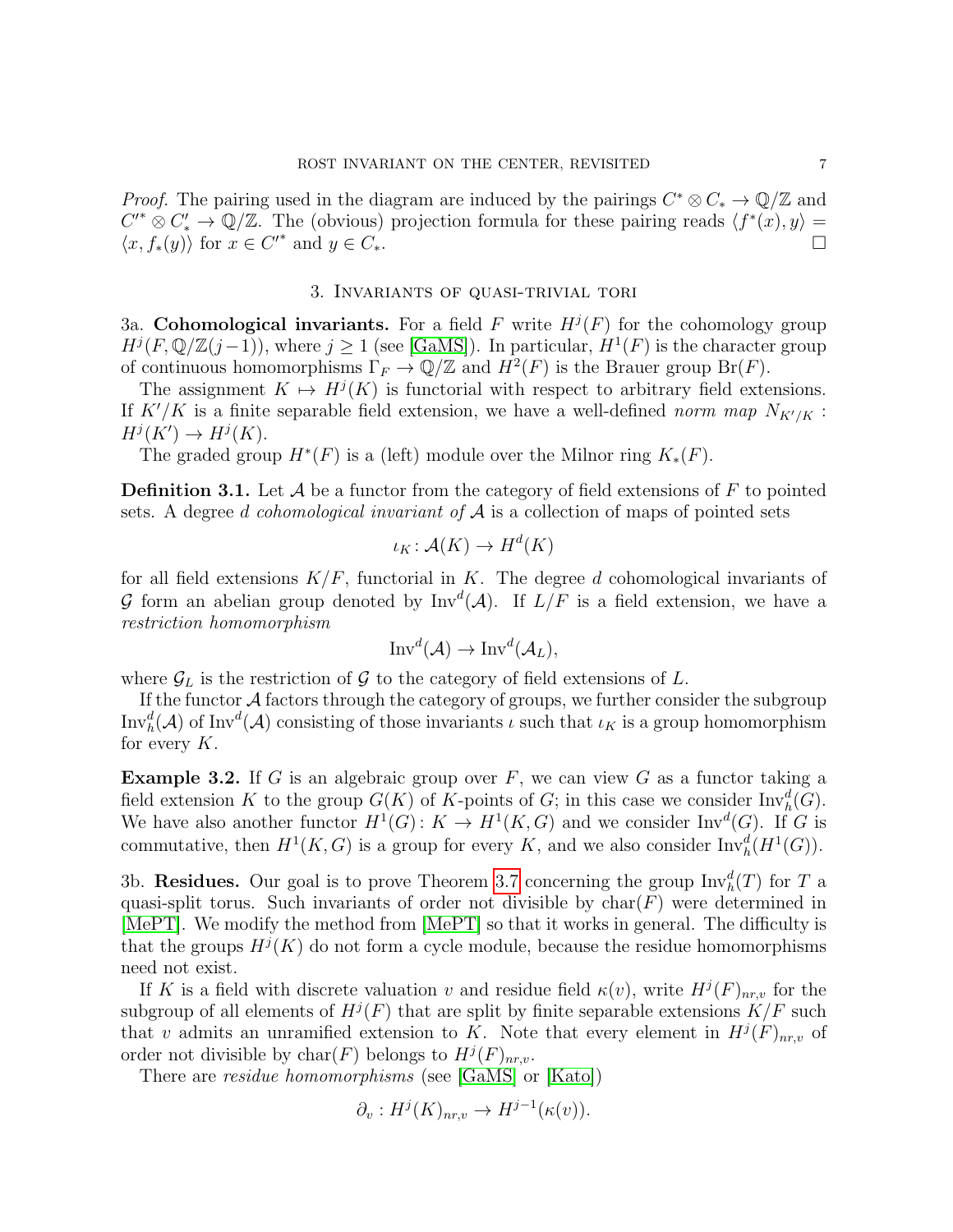*Proof.* The pairing used in the diagram are induced by the pairings  $C^* \otimes C_* \to \mathbb{Q}/\mathbb{Z}$  and  $C'^* \otimes C'_* \to \mathbb{Q}/\mathbb{Z}$ . The (obvious) projection formula for these pairing reads  $\langle f^*(x), y \rangle =$  $\langle x, f_*(y) \rangle$  for  $x \in C'^*$  and  $y \in C_*$ .

# 3. Invariants of quasi-trivial tori

3a. Cohomological invariants. For a field F write  $H^j(F)$  for the cohomology group  $H^{j}(F,\mathbb{Q}/\mathbb{Z}(j-1))$ , where  $j\geq 1$  (see [\[GaMS\]](#page-24-0)). In particular,  $H^{1}(F)$  is the character group of continuous homomorphisms  $\Gamma_F \to \mathbb{Q}/\mathbb{Z}$  and  $H^2(F)$  is the Brauer group  $\text{Br}(F)$ .

The assignment  $K \mapsto H^{j}(K)$  is functorial with respect to arbitrary field extensions. If  $K'/K$  is a finite separable field extension, we have a well-defined norm map  $N_{K'/K}$ :  $H^j(K') \to H^j(K)$ .

The graded group  $H^*(F)$  is a (left) module over the Milnor ring  $K_*(F)$ .

<span id="page-6-0"></span>**Definition 3.1.** Let  $\mathcal A$  be a functor from the category of field extensions of  $F$  to pointed sets. A degree d cohomological invariant of  $A$  is a collection of maps of pointed sets

$$
\iota_K \colon \mathcal{A}(K) \to H^d(K)
$$

for all field extensions  $K/F$ , functorial in K. The degree d cohomological invariants of G form an abelian group denoted by  $Inv<sup>d</sup>(A)$ . If  $L/F$  is a field extension, we have a restriction homomorphism

$$
\text{Inv}^d(\mathcal{A}) \to \text{Inv}^d(\mathcal{A}_L),
$$

where  $\mathcal{G}_L$  is the restriction of  $\mathcal G$  to the category of field extensions of  $L$ .

If the functor  $A$  factors through the category of groups, we further consider the subgroup  $\text{Inv}_{h}^{d}(\mathcal{A})$  of  $\text{Inv}^{d}(\mathcal{A})$  consisting of those invariants  $\iota$  such that  $\iota_K$  is a group homomorphism for every  $K$ .

**Example 3.2.** If G is an algebraic group over F, we can view G as a functor taking a field extension K to the group  $G(K)$  of K-points of G; in this case we consider  $\text{Inv}_{h}^{d}(G)$ . We have also another functor  $H^1(G)$ :  $K \to H^1(K, G)$  and we consider  $\text{Inv}^d(G)$ . If G is commutative, then  $H^1(K, G)$  is a group for every K, and we also consider  $\text{Inv}_{h}^d(H^1(G))$ .

3b. Residues. Our goal is to prove Theorem [3.7](#page-8-0) concerning the group  $\text{Inv}_{h}^{d}(T)$  for T a quasi-split torus. Such invariants of order not divisible by  $char(F)$  were determined in [\[MePT\]](#page-25-0). We modify the method from [\[MePT\]](#page-25-0) so that it works in general. The difficulty is that the groups  $H^{j}(K)$  do not form a cycle module, because the residue homomorphisms need not exist.

If K is a field with discrete valuation v and residue field  $\kappa(v)$ , write  $H^j(F)_{nr,v}$  for the subgroup of all elements of  $H^j(F)$  that are split by finite separable extensions  $K/F$  such that v admits an unramified extension to K. Note that every element in  $H^{j}(F)_{nr,v}$  of order not divisible by  $char(F)$  belongs to  $H^j(F)_{nr,v}$ .

There are residue homomorphisms (see [\[GaMS\]](#page-24-0) or [\[Kato\]](#page-25-6))

$$
\partial_v: H^j(K)_{nr,v} \to H^{j-1}(\kappa(v)).
$$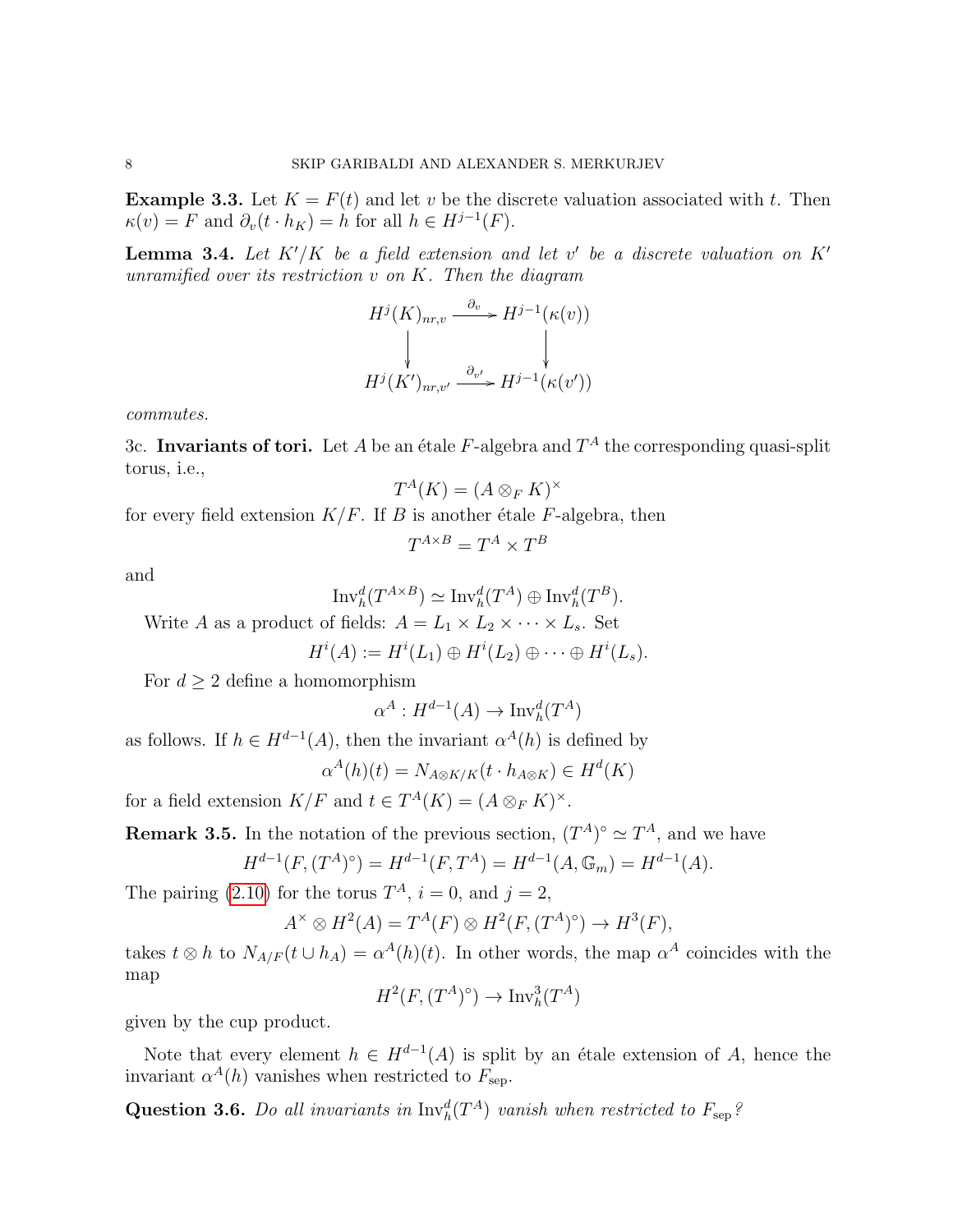<span id="page-7-1"></span>**Example 3.3.** Let  $K = F(t)$  and let v be the discrete valuation associated with t. Then  $\kappa(v) = F$  and  $\partial_v(t \cdot h_K) = h$  for all  $h \in H^{j-1}(F)$ .

<span id="page-7-0"></span>**Lemma 3.4.** Let  $K'/K$  be a field extension and let v' be a discrete valuation on  $K'$ unramified over its restriction  $v$  on  $K$ . Then the diagram

$$
H^j(K)_{nr,v} \xrightarrow{\partial_v} H^{j-1}(\kappa(v))
$$
  
\n
$$
\downarrow \qquad \qquad \downarrow
$$
  
\n
$$
H^j(K')_{nr,v'} \xrightarrow{\partial_{v'}} H^{j-1}(\kappa(v'))
$$

commutes.

3c. Invariants of tori. Let A be an étale F-algebra and  $T^A$  the corresponding quasi-split torus, i.e.,

$$
T^A(K) = (A \otimes_F K)^{\times}
$$

for every field extension  $K/F$ . If B is another étale F-algebra, then

$$
T^{A \times B} = T^A \times T^B
$$

and

$$
\mathrm{Inv}_{h}^{d}(T^{A \times B}) \simeq \mathrm{Inv}_{h}^{d}(T^{A}) \oplus \mathrm{Inv}_{h}^{d}(T^{B}).
$$

Write A as a product of fields:  $A = L_1 \times L_2 \times \cdots \times L_s$ . Set

$$
H^i(A) := H^i(L_1) \oplus H^i(L_2) \oplus \cdots \oplus H^i(L_s).
$$

For  $d \geq 2$  define a homomorphism

$$
\alpha^A: H^{d-1}(A) \to \text{Inv}_h^d(T^A)
$$

as follows. If  $h \in H^{d-1}(A)$ , then the invariant  $\alpha^{A}(h)$  is defined by

$$
\alpha^A(h)(t) = N_{A \otimes K/K}(t \cdot h_{A \otimes K}) \in H^d(K)
$$

for a field extension  $K/F$  and  $t \in T^A(K) = (A \otimes_F K)^{\times}$ .

<span id="page-7-2"></span>**Remark 3.5.** In the notation of the previous section, 
$$
(T^A)^\circ \simeq T^A
$$
, and we have

$$
H^{d-1}(F, (T^A)^\circ) = H^{d-1}(F, T^A) = H^{d-1}(A, \mathbb{G}_m) = H^{d-1}(A).
$$

The pairing [\(2.10\)](#page-3-3) for the torus  $T^A$ ,  $i = 0$ , and  $j = 2$ ,

$$
A^{\times} \otimes H^2(A) = T^A(F) \otimes H^2(F, (T^A)^{\circ}) \to H^3(F),
$$

takes  $t \otimes h$  to  $N_{A/F}(t \cup h_A) = \alpha^A(h)(t)$ . In other words, the map  $\alpha^A$  coincides with the map

$$
H^2(F, (T^A)^\circ) \to \text{Inv}_h^3(T^A)
$$

given by the cup product.

Note that every element  $h \in H^{d-1}(A)$  is split by an étale extension of A, hence the invariant  $\alpha^{A}(h)$  vanishes when restricted to  $F_{\text{sep}}$ .

Question 3.6. Do all invariants in  $\text{Inv}_h^d(T^A)$  vanish when restricted to  $F_{\text{sep}}$ ?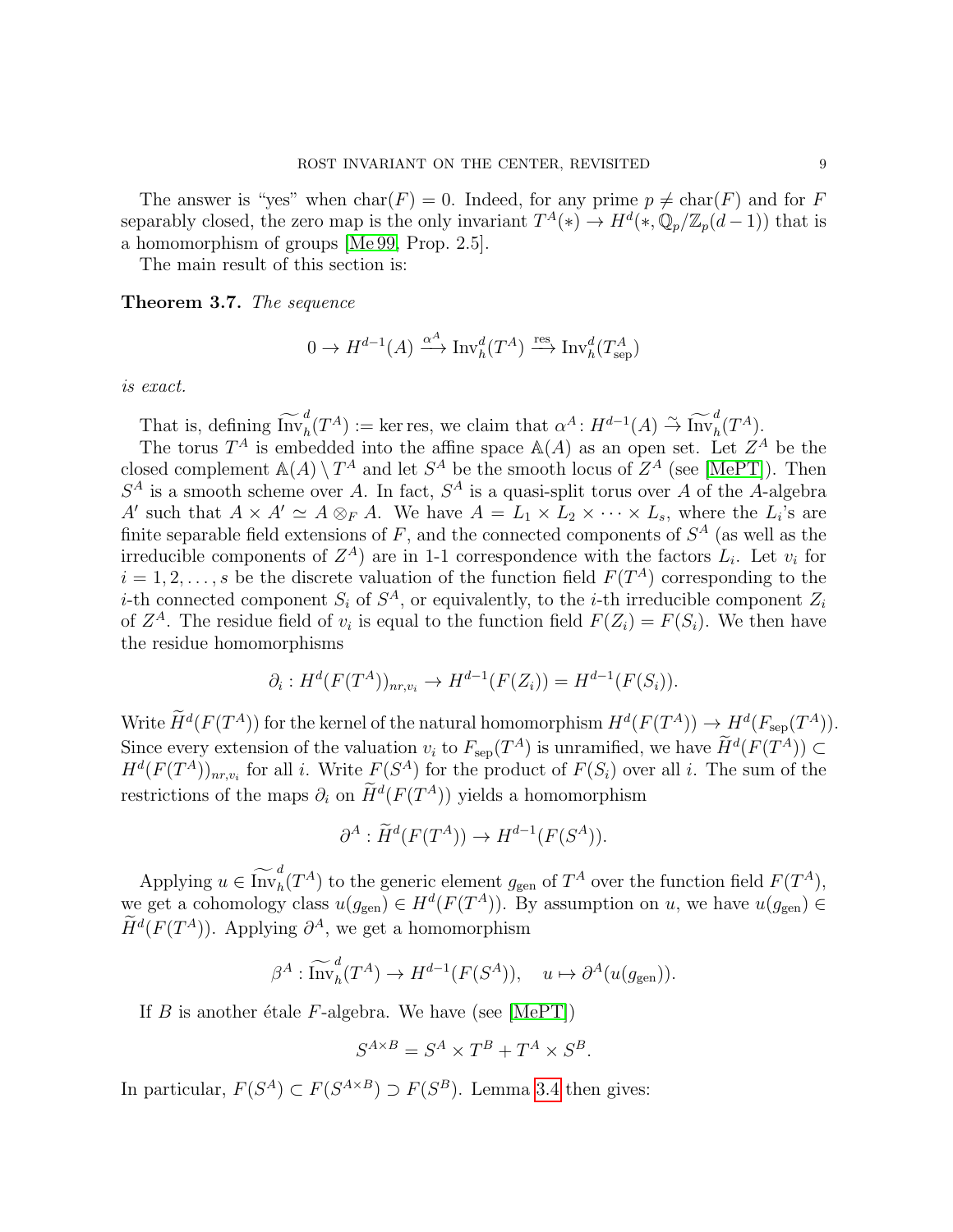The answer is "yes" when  $char(F) = 0$ . Indeed, for any prime  $p \neq char(F)$  and for F separably closed, the zero map is the only invariant  $T^A(*) \to H^d(*, \mathbb{Q}_p/\mathbb{Z}_p(d-1))$  that is a homomorphism of groups [\[Me 99,](#page-25-7) Prop. 2.5].

The main result of this section is:

<span id="page-8-0"></span>Theorem 3.7. The sequence

$$
0 \to H^{d-1}(A) \xrightarrow{\alpha^A} \text{Inv}_h^d(T^A) \xrightarrow{\text{res}} \text{Inv}_h^d(T^A_{\text{sep}})
$$

is exact.

That is, defining  $\widetilde{\text{Inv}}_h^d(T^A) := \text{ker res}$ , we claim that  $\alpha^A: H^{d-1}(A) \overset{\sim}{\rightarrow} \widetilde{\text{Inv}}_h^d(T^A)$ .

The torus  $T^A$  is embedded into the affine space  $A(A)$  as an open set. Let  $Z^A$  be the closed complement  $\mathbb{A}(A) \setminus T^A$  and let  $S^A$  be the smooth locus of  $Z^A$  (see [\[MePT\]](#page-25-0)). Then  $S<sup>A</sup>$  is a smooth scheme over A. In fact,  $S<sup>A</sup>$  is a quasi-split torus over A of the A-algebra A' such that  $A \times A' \simeq A \otimes_F A$ . We have  $A = L_1 \times L_2 \times \cdots \times L_s$ , where the  $L_i$ 's are finite separable field extensions of  $F$ , and the connected components of  $S^A$  (as well as the irreducible components of  $Z^A$ ) are in 1-1 correspondence with the factors  $L_i$ . Let  $v_i$  for  $i = 1, 2, \ldots, s$  be the discrete valuation of the function field  $F(T^A)$  corresponding to the *i*-th connected component  $S_i$  of  $S^A$ , or equivalently, to the *i*-th irreducible component  $Z_i$ of  $Z^A$ . The residue field of  $v_i$  is equal to the function field  $F(Z_i) = F(S_i)$ . We then have the residue homomorphisms

$$
\partial_i: H^d(F(T^A))_{nr,v_i} \to H^{d-1}(F(Z_i)) = H^{d-1}(F(S_i)).
$$

Write  $\widetilde{H}^d(F(T^A))$  for the kernel of the natural homomorphism  $H^d(F(T^A)) \to H^d(F_{\text{sep}}(T^A)).$ Since every extension of the valuation  $v_i$  to  $F_{\rm sep}(T^A)$  is unramified, we have  $H^d(F(T^A)) \subset H^d(F(T^A))$  $H^d(F(T^A))_{nr,v_i}$  for all i. Write  $F(S^A)$  for the product of  $F(S_i)$  over all i. The sum of the restrictions of the maps  $\partial_i$  on  $\tilde{H}^d(F(T^A))$  yields a homomorphism

$$
\partial^A : \widetilde{H}^d(F(T^A)) \to H^{d-1}(F(S^A)).
$$

Applying  $u \in \widetilde{\text{Inv}}_h^d(T^A)$  to the generic element  $g_{\text{gen}}$  of  $T^A$  over the function field  $F(T^A)$ , we get a cohomology class  $u(g_{\text{gen}}) \in H^d(F(T^A))$ . By assumption on u, we have  $u(g_{\text{gen}}) \in$  $\hat{H}^d(F(T^A))$ . Applying  $\partial^A$ , we get a homomorphism

$$
\beta^A: \widetilde{\mathrm{Inv}}_h^d(T^A) \to H^{d-1}(F(S^A)), \quad u \mapsto \partial^A(u(g_{\mathrm{gen}})).
$$

If B is another étale F-algebra. We have (see [\[MePT\]](#page-25-0))

$$
S^{A \times B} = S^A \times T^B + T^A \times S^B.
$$

In particular,  $F(S^A) \subset F(S^{A \times B}) \supset F(S^B)$ . Lemma [3.4](#page-7-0) then gives: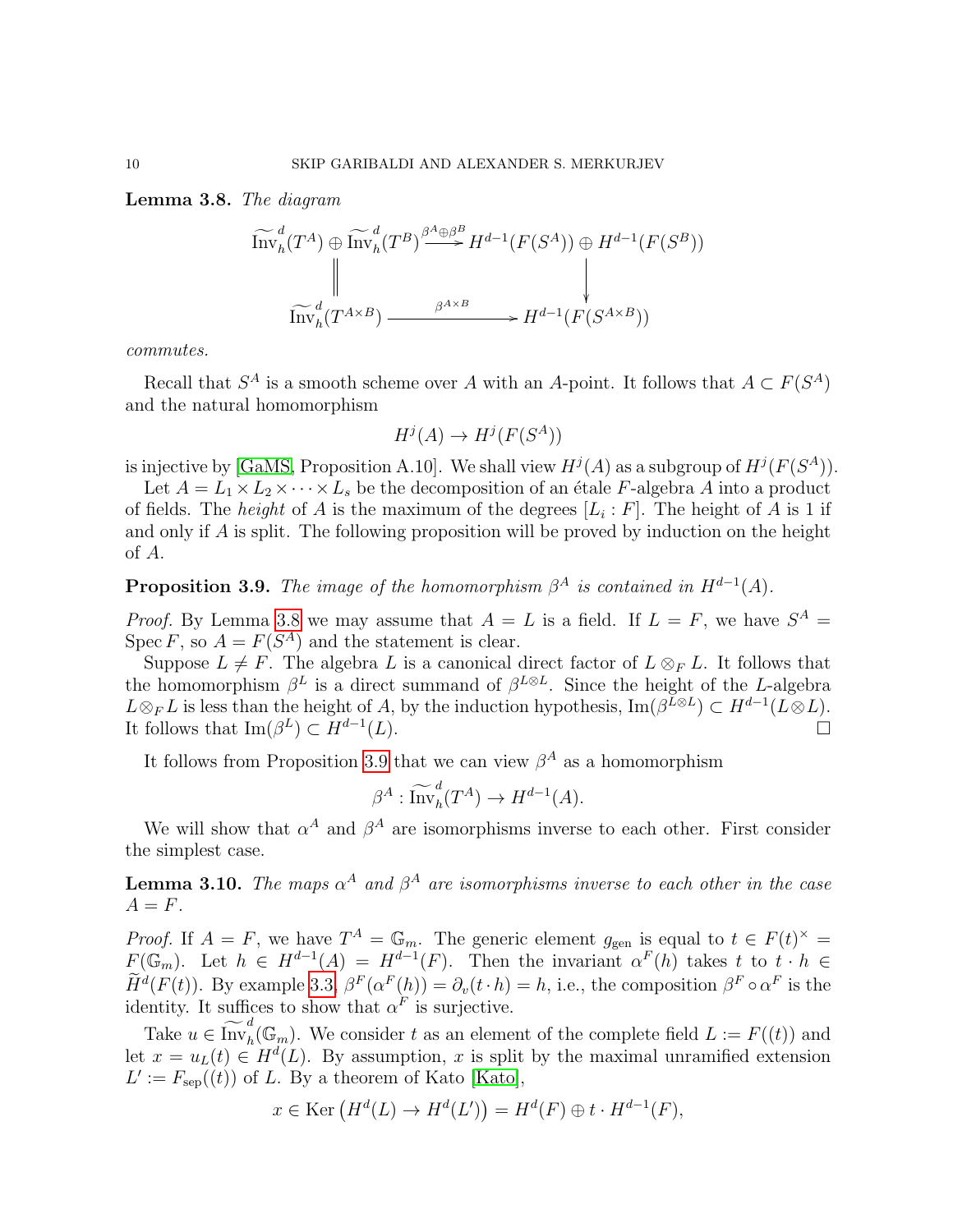## <span id="page-9-0"></span>Lemma 3.8. The diagram

$$
\widetilde{\mathrm{Inv}}_{h}^{d}(T^{A}) \oplus \widetilde{\mathrm{Inv}}_{h}^{d}(T^{B}) \xrightarrow{\beta^{A} \oplus \beta^{B}} H^{d-1}(F(S^{A})) \oplus H^{d-1}(F(S^{B}))
$$
\n
$$
\downarrow \downarrow
$$
\n
$$
\widetilde{\mathrm{Inv}}_{h}^{d}(T^{A \times B}) \xrightarrow{\beta^{A \times B}} H^{d-1}(F(S^{A \times B}))
$$

commutes.

Recall that  $S^A$  is a smooth scheme over A with an A-point. It follows that  $A \subset F(S^A)$ and the natural homomorphism

$$
H^j(A) \to H^j(F(S^A))
$$

is injective by [\[GaMS,](#page-24-0) Proposition A.10]. We shall view  $H^j(A)$  as a subgroup of  $H^j(F(S^A))$ .

Let  $A = L_1 \times L_2 \times \cdots \times L_s$  be the decomposition of an étale F-algebra A into a product of fields. The *height* of A is the maximum of the degrees  $[L_i : F]$ . The height of A is 1 if and only if A is split. The following proposition will be proved by induction on the height of A.

<span id="page-9-1"></span>**Proposition 3.9.** The image of the homomorphism  $\beta^A$  is contained in  $H^{d-1}(A)$ .

*Proof.* By Lemma [3.8](#page-9-0) we may assume that  $A = L$  is a field. If  $L = F$ , we have  $S^A =$ Spec F, so  $A = F(S^A)$  and the statement is clear.

Suppose  $L \neq F$ . The algebra L is a canonical direct factor of  $L \otimes_F L$ . It follows that the homomorphism  $\beta^L$  is a direct summand of  $\beta^{L\otimes L}$ . Since the height of the L-algebra  $L \otimes_F L$  is less than the height of A, by the induction hypothesis,  $\text{Im}(\beta^{L\otimes L}) \subset H^{d-1}(L\otimes L)$ . It follows that  $\mathrm{Im}(\beta^L) \subset H^{d-1}$  $(L).$ 

It follows from Proposition [3.9](#page-9-1) that we can view  $\beta^A$  as a homomorphism

$$
\beta^A : \widetilde{\mathrm{Inv}}_h^d(T^A) \to H^{d-1}(A).
$$

We will show that  $\alpha^A$  and  $\beta^A$  are isomorphisms inverse to each other. First consider the simplest case.

<span id="page-9-2"></span>**Lemma 3.10.** The maps  $\alpha^A$  and  $\beta^A$  are isomorphisms inverse to each other in the case  $A = F$ .

*Proof.* If  $A = F$ , we have  $T^A = \mathbb{G}_m$ . The generic element  $g_{gen}$  is equal to  $t \in F(t)^{\times}$  $F(\mathbb{G}_m)$ . Let  $h \in H^{d-1}(A) = H^{d-1}(F)$ . Then the invariant  $\alpha^F(h)$  takes t to  $t \cdot h \in$  $H^d(F(t))$ . By example [3.3,](#page-7-1)  $\beta^F(\alpha^F(h)) = \partial_v(t \cdot h) = h$ , i.e., the composition  $\beta^F \circ \alpha^F$  is the identity. It suffices to show that  $\alpha^F$  is surjective.

Take  $u \in \widetilde{\text{Inv}}_h^d(\mathbb{G}_m)$ . We consider t as an element of the complete field  $L := F((t))$  and let  $x = u_L(t) \in H^d(L)$ . By assumption, x is split by the maximal unramified extension  $L' := F_{\rm sep}((t))$  of L. By a theorem of Kato [\[Kato\]](#page-25-6),

$$
x \in \text{Ker}\left(H^d(L) \to H^d(L')\right) = H^d(F) \oplus t \cdot H^{d-1}(F),
$$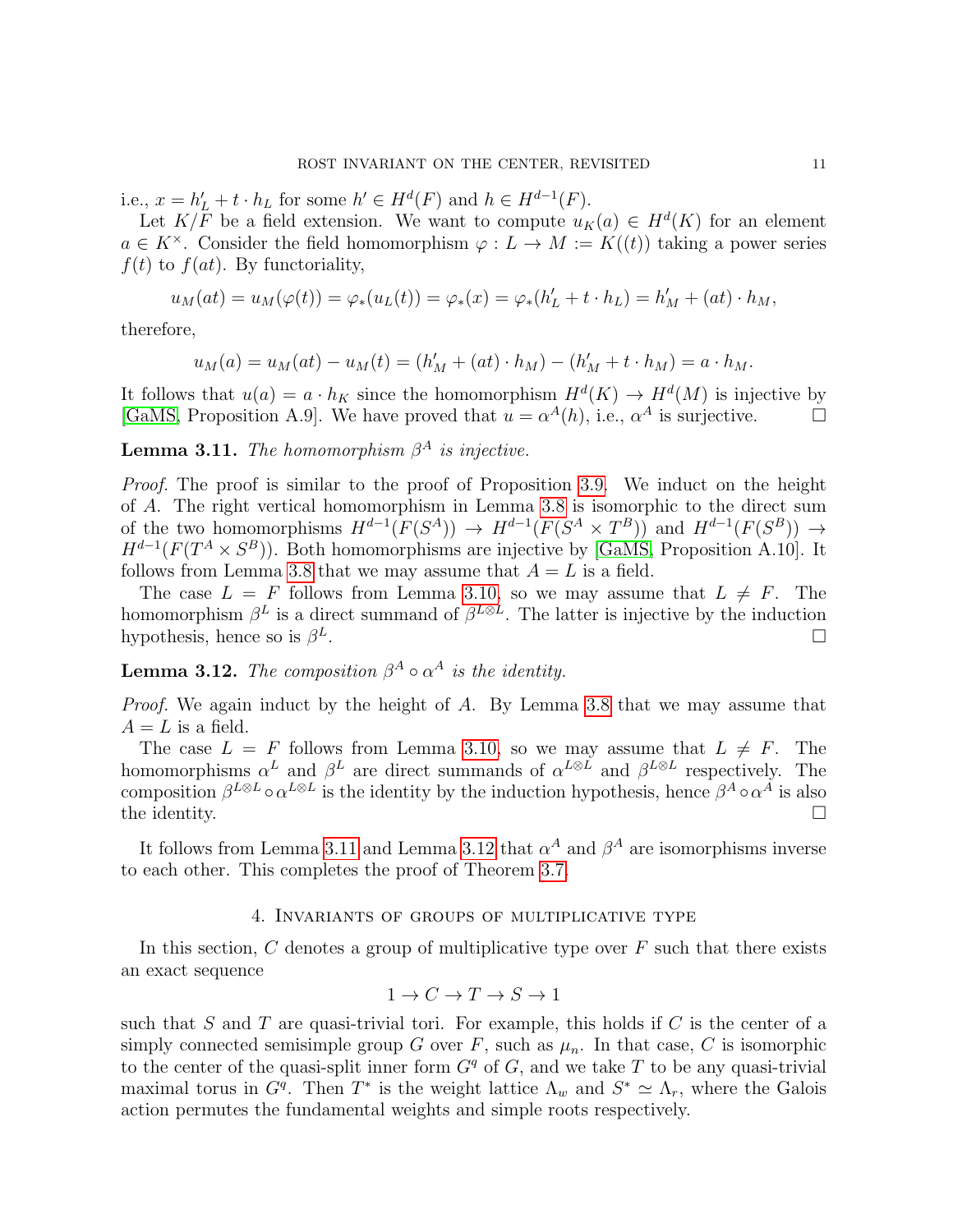i.e.,  $x = h'_L + t \cdot h_L$  for some  $h' \in H^d(F)$  and  $h \in H^{d-1}(F)$ .

Let  $K/F$  be a field extension. We want to compute  $u_K(a) \in H^d(K)$  for an element  $a \in K^{\times}$ . Consider the field homomorphism  $\varphi: L \to M := K((t))$  taking a power series  $f(t)$  to  $f(at)$ . By functoriality,

$$
u_M(at) = u_M(\varphi(t)) = \varphi_*(u_L(t)) = \varphi_*(x) = \varphi_*(h'_L + t \cdot h_L) = h'_M + (at) \cdot h_M,
$$

therefore,

$$
u_M(a) = u_M(at) - u_M(t) = (h'_M + (at) \cdot h_M) - (h'_M + t \cdot h_M) = a \cdot h_M.
$$

It follows that  $u(a) = a \cdot h_K$  since the homomorphism  $H^d(K) \to H^d(M)$  is injective by [\[GaMS,](#page-24-0) Proposition A.9]. We have proved that  $u = \alpha^{A}(h)$ , i.e.,  $\alpha^{A}$  is surjective.

<span id="page-10-0"></span>**Lemma 3.11.** The homomorphism  $\beta^A$  is injective.

Proof. The proof is similar to the proof of Proposition [3.9.](#page-9-1) We induct on the height of A. The right vertical homomorphism in Lemma [3.8](#page-9-0) is isomorphic to the direct sum of the two homomorphisms  $H^{d-1}(F(S^A)) \to H^{d-1}(F(S^A \times T^B))$  and  $H^{d-1}(F(S^B)) \to$  $H^{d-1}(F(T^A \times S^B))$ . Both homomorphisms are injective by [\[GaMS,](#page-24-0) Proposition A.10]. It follows from Lemma [3.8](#page-9-0) that we may assume that  $A = L$  is a field.

The case  $L = F$  follows from Lemma [3.10,](#page-9-2) so we may assume that  $L \neq F$ . The homomorphism  $\beta^L$  is a direct summand of  $\beta^{L\otimes L}$ . The latter is injective by the induction hypothesis, hence so is  $\beta^L$ .

<span id="page-10-1"></span>**Lemma 3.12.** The composition  $\beta^A \circ \alpha^A$  is the identity.

Proof. We again induct by the height of A. By Lemma [3.8](#page-9-0) that we may assume that  $A = L$  is a field.

The case  $L = F$  follows from Lemma [3.10,](#page-9-2) so we may assume that  $L \neq F$ . The homomorphisms  $\alpha^L$  and  $\beta^L$  are direct summands of  $\alpha^{L\otimes L}$  and  $\beta^{L\otimes L}$  respectively. The composition  $\beta^{L\otimes L} \circ \alpha^{L\otimes L}$  is the identity by the induction hypothesis, hence  $\beta^A \circ \alpha^A$  is also the identity.  $\Box$ 

It follows from Lemma [3.11](#page-10-0) and Lemma [3.12](#page-10-1) that  $\alpha^A$  and  $\beta^A$  are isomorphisms inverse to each other. This completes the proof of Theorem [3.7.](#page-8-0)

# 4. Invariants of groups of multiplicative type

In this section,  $C$  denotes a group of multiplicative type over  $F$  such that there exists an exact sequence

$$
1 \to C \to T \to S \to 1
$$

such that S and T are quasi-trivial tori. For example, this holds if C is the center of a simply connected semisimple group G over F, such as  $\mu_n$ . In that case, C is isomorphic to the center of the quasi-split inner form  $G<sup>q</sup>$  of G, and we take T to be any quasi-trivial maximal torus in  $G<sup>q</sup>$ . Then  $T^*$  is the weight lattice  $\Lambda_w$  and  $S^* \simeq \Lambda_r$ , where the Galois action permutes the fundamental weights and simple roots respectively.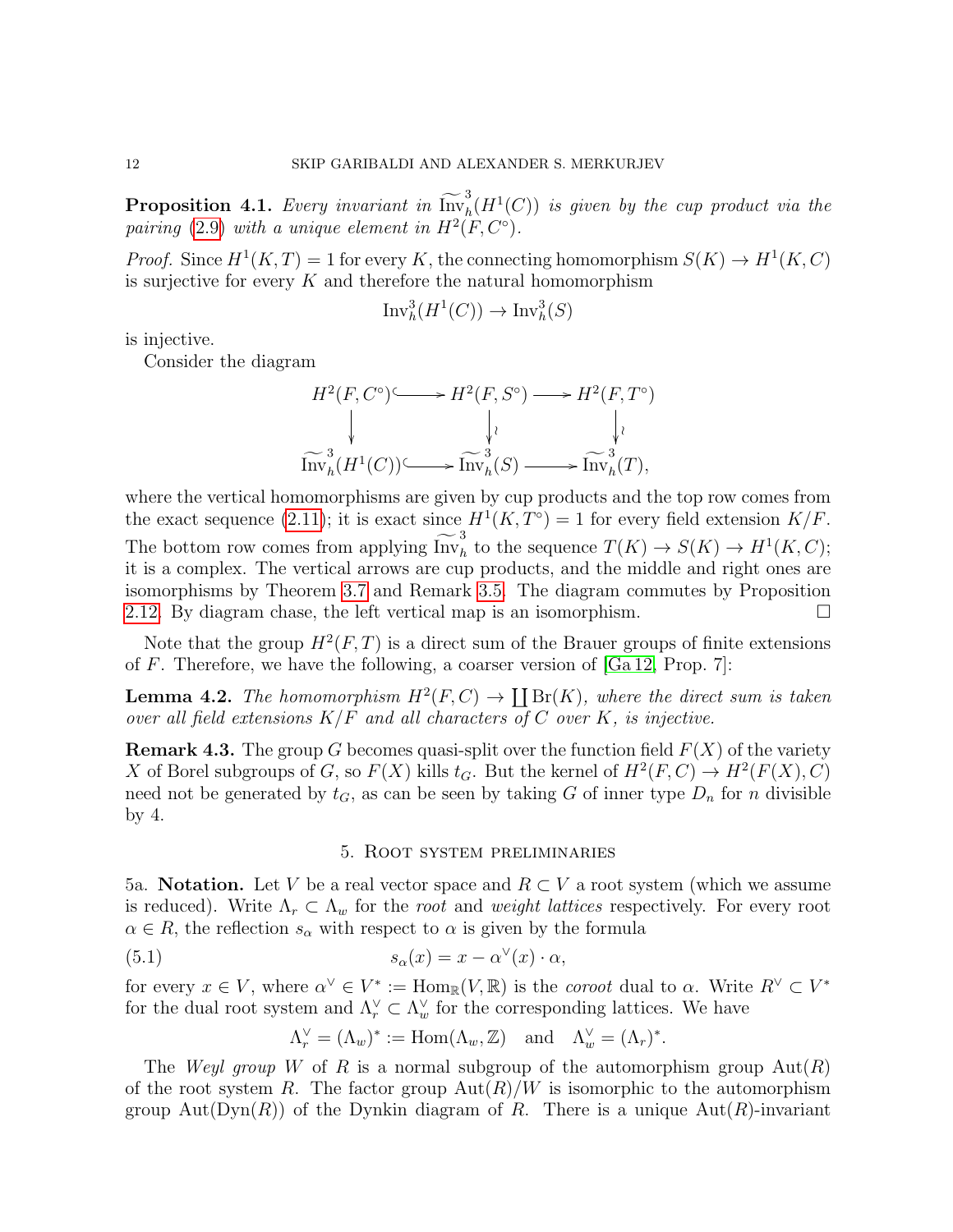<span id="page-11-1"></span>**Proposition 4.1.** Every invariant in  $\widetilde{\text{Inv}}_h^3(H^1(C))$  is given by the cup product via the pairing [\(2.9\)](#page-3-0) with a unique element in  $H^2(F, C^{\circ})$ .

*Proof.* Since  $H^1(K,T) = 1$  for every K, the connecting homomorphism  $S(K) \to H^1(K,C)$ is surjective for every  $K$  and therefore the natural homomorphism

$$
\text{Inv}_h^3(H^1(C)) \to \text{Inv}_h^3(S)
$$

is injective.

Consider the diagram

$$
H^2(F, C^{\circ}) \longrightarrow H^2(F, S^{\circ}) \longrightarrow H^2(F, T^{\circ})
$$
\n
$$
\downarrow \qquad \qquad \downarrow \qquad \qquad \downarrow \qquad \qquad \downarrow \qquad \qquad \downarrow \qquad \qquad \downarrow \qquad \qquad \downarrow \qquad \qquad \downarrow \qquad \qquad \downarrow \qquad \qquad \downarrow \qquad \qquad \downarrow \qquad \qquad \downarrow \qquad \qquad \downarrow \qquad \qquad \downarrow \qquad \qquad \downarrow \qquad \downarrow \qquad \downarrow \qquad \downarrow \qquad \downarrow \qquad \downarrow \qquad \downarrow \qquad \downarrow \qquad \downarrow \qquad \downarrow \qquad \downarrow \qquad \downarrow \qquad \downarrow \qquad \downarrow \qquad \downarrow \qquad \downarrow \qquad \downarrow \qquad \downarrow \qquad \downarrow \qquad \downarrow \qquad \downarrow \qquad \downarrow \qquad \downarrow \qquad \downarrow \qquad \downarrow \qquad \downarrow \qquad \downarrow \qquad \downarrow \qquad \downarrow \qquad \downarrow \qquad \downarrow \qquad \downarrow \qquad \downarrow \qquad \downarrow \qquad \downarrow \qquad \downarrow \qquad \downarrow \qquad \downarrow \qquad \downarrow \qquad \downarrow \qquad \downarrow \qquad \downarrow \qquad \downarrow \qquad \downarrow \qquad \downarrow \qquad \downarrow \qquad \downarrow \qquad \downarrow \qquad \downarrow \qquad \downarrow \qquad \downarrow \qquad \downarrow \qquad \downarrow \qquad \downarrow \qquad \downarrow \qquad \downarrow \qquad \downarrow \qquad \downarrow \qquad \downarrow \qquad \downarrow \qquad \downarrow \qquad \downarrow \qquad \downarrow \qquad \downarrow \qquad \downarrow \qquad \downarrow \qquad \downarrow \qquad \downarrow \qquad \downarrow \qquad \downarrow \qquad \downarrow \qquad \downarrow \qquad \downarrow \qquad \downarrow \qquad \downarrow \qquad \downarrow \qquad \downarrow \qquad \downarrow \qquad \downarrow \qquad \downarrow \qquad \downarrow \qquad \downarrow \qquad \downarrow \qquad \downarrow \qquad \downarrow \qquad \downarrow \qquad \downarrow \qquad \downarrow \qquad \downarrow \qquad \downarrow \qquad \downarrow \qquad \downarrow \qquad \downarrow \qquad \downarrow \qquad \downarrow \qquad \downarrow \qquad \downarrow \qquad \downarrow \qquad \down
$$

where the vertical homomorphisms are given by cup products and the top row comes from the exact sequence [\(2.11\)](#page-3-4); it is exact since  $H^1(K, T^{\circ}) = 1$  for every field extension  $K/F$ . The bottom row comes from applying  $\widetilde{\text{Inv}}_h^3$  to the sequence  $T(K) \to S(K) \to H^1(K, C);$ it is a complex. The vertical arrows are cup products, and the middle and right ones are isomorphisms by Theorem [3.7](#page-8-0) and Remark [3.5.](#page-7-2) The diagram commutes by Proposition [2.12.](#page-4-0) By diagram chase, the left vertical map is an isomorphism.

Note that the group  $H^2(F,T)$  is a direct sum of the Brauer groups of finite extensions of  $F$ . Therefore, we have the following, a coarser version of  $[Ga 12, Prop. 7]$ :

<span id="page-11-2"></span>**Lemma 4.2.** The homomorphism  $H^2(F, C) \to \coprod$  Br(K), where the direct sum is taken over all field extensions  $K/F$  and all characters of C over K, is injective.

**Remark 4.3.** The group G becomes quasi-split over the function field  $F(X)$  of the variety X of Borel subgroups of G, so  $F(X)$  kills  $t_G$ . But the kernel of  $H^2(F, C) \to H^2(F(X), C)$ need not be generated by  $t_G$ , as can be seen by taking G of inner type  $D_n$  for n divisible by 4.

### <span id="page-11-0"></span>5. Root system preliminaries

5a. Notation. Let V be a real vector space and  $R \subset V$  a root system (which we assume is reduced). Write  $\Lambda_r \subset \Lambda_w$  for the root and weight lattices respectively. For every root  $\alpha \in R$ , the reflection  $s_{\alpha}$  with respect to  $\alpha$  is given by the formula

(5.1) 
$$
s_{\alpha}(x) = x - \alpha^{\vee}(x) \cdot \alpha,
$$

for every  $x \in V$ , where  $\alpha^{\vee} \in V^* := \text{Hom}_{\mathbb{R}}(V, \mathbb{R})$  is the *coroot* dual to  $\alpha$ . Write  $R^{\vee} \subset V^*$ for the dual root system and  $\Lambda_r^{\vee} \subset \Lambda_w^{\vee}$  for the corresponding lattices. We have

$$
\Lambda_r^{\vee} = (\Lambda_w)^* := \text{Hom}(\Lambda_w, \mathbb{Z}) \quad \text{and} \quad \Lambda_w^{\vee} = (\Lambda_r)^*.
$$

The Weyl group W of R is a normal subgroup of the automorphism group  $Aut(R)$ of the root system R. The factor group  $Aut(R)/W$  is isomorphic to the automorphism group Aut( $Dyn(R)$ ) of the Dynkin diagram of R. There is a unique Aut(R)-invariant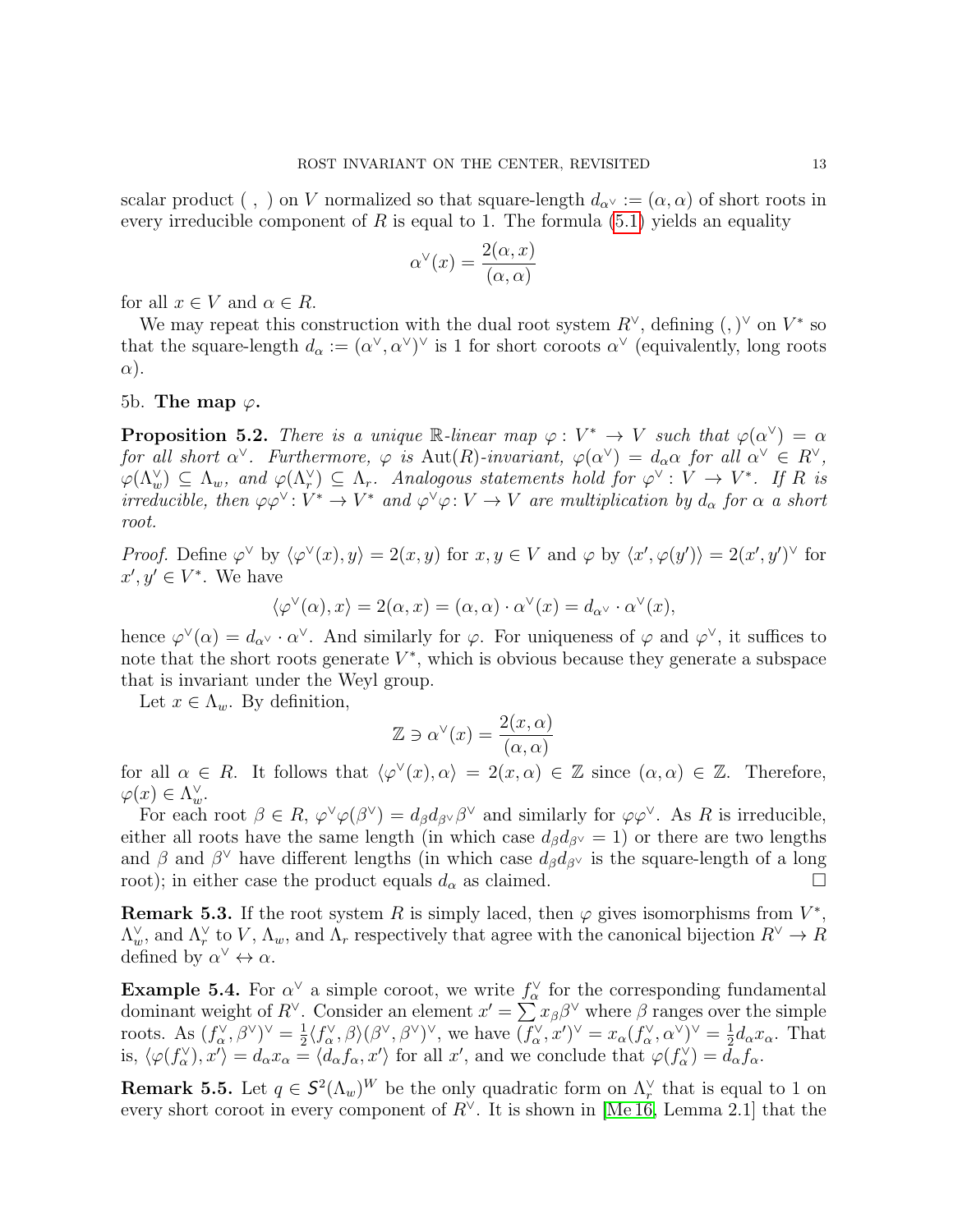scalar product (,) on V normalized so that square-length  $d_{\alpha}$  :=  $(\alpha, \alpha)$  of short roots in every irreducible component of R is equal to 1. The formula  $(5.1)$  yields an equality

$$
\alpha^{\vee}(x) = \frac{2(\alpha, x)}{(\alpha, \alpha)}
$$

for all  $x \in V$  and  $\alpha \in R$ .

We may repeat this construction with the dual root system  $R^{\vee}$ , defining  $(,)^{\vee}$  on  $V^*$  so that the square-length  $d_{\alpha} := (\alpha^{\vee}, \alpha^{\vee})^{\vee}$  is 1 for short coroots  $\alpha^{\vee}$  (equivalently, long roots  $\alpha$ ).

5b. The map  $\varphi$ .

<span id="page-12-0"></span>**Proposition 5.2.** There is a unique R-linear map  $\varphi: V^* \to V$  such that  $\varphi(\alpha^{\vee}) = \alpha$ for all short  $\alpha^{\vee}$ . Furthermore,  $\varphi$  is  $\text{Aut}(R)$ -invariant,  $\varphi(\alpha^{\vee}) = d_{\alpha}\alpha$  for all  $\alpha^{\vee} \in R^{\vee}$ ,  $\varphi(\Lambda_w^{\vee}) \subseteq \Lambda_w$ , and  $\varphi(\Lambda_r^{\vee}) \subseteq \Lambda_r$ . Analogous statements hold for  $\varphi^{\vee}: V \to V^*$ . If R is irreducible, then  $\varphi \varphi^{\vee} \colon V^* \to V^*$  and  $\varphi^{\vee} \varphi \colon V \to V$  are multiplication by  $d_{\alpha}$  for  $\alpha$  a short root.

Proof. Define  $\varphi^{\vee}$  by  $\langle \varphi^{\vee}(x), y \rangle = 2(x, y)$  for  $x, y \in V$  and  $\varphi$  by  $\langle x', \varphi(y') \rangle = 2(x', y')^{\vee}$  for  $x', y' \in V^*$ . We have

$$
\langle \varphi^{\vee}(\alpha), x \rangle = 2(\alpha, x) = (\alpha, \alpha) \cdot \alpha^{\vee}(x) = d_{\alpha^{\vee}} \cdot \alpha^{\vee}(x),
$$

hence  $\varphi^{\vee}(\alpha) = d_{\alpha^{\vee}} \cdot \alpha^{\vee}$ . And similarly for  $\varphi$ . For uniqueness of  $\varphi$  and  $\varphi^{\vee}$ , it suffices to note that the short roots generate  $V^*$ , which is obvious because they generate a subspace that is invariant under the Weyl group.

Let  $x \in \Lambda_w$ . By definition,

$$
\mathbb{Z} \ni \alpha^{\vee}(x) = \frac{2(x, \alpha)}{(\alpha, \alpha)}
$$

for all  $\alpha \in R$ . It follows that  $\langle \varphi^\vee(x), \alpha \rangle = 2(x, \alpha) \in \mathbb{Z}$  since  $(\alpha, \alpha) \in \mathbb{Z}$ . Therefore,  $\varphi(x) \in \Lambda_w^{\vee}$ .

For each root  $\beta \in R$ ,  $\varphi^{\vee}\varphi(\beta^{\vee}) = d_{\beta}d_{\beta^{\vee}}\beta^{\vee}$  and similarly for  $\varphi\varphi^{\vee}$ . As R is irreducible, either all roots have the same length (in which case  $d_{\beta}d_{\beta}$ <sup> $\vee$ </sup> = 1) or there are two lengths and  $\beta$  and  $\beta^{\vee}$  have different lengths (in which case  $d_{\beta}d_{\beta^{\vee}}$  is the square-length of a long root); in either case the product equals  $d_{\alpha}$  as claimed.

**Remark 5.3.** If the root system R is simply laced, then  $\varphi$  gives isomorphisms from  $V^*$ ,  $\Lambda_w^{\vee}$ , and  $\Lambda_r^{\vee}$  to V,  $\Lambda_w$ , and  $\Lambda_r$  respectively that agree with the canonical bijection  $R^{\vee} \to R$ defined by  $\alpha^{\vee} \leftrightarrow \alpha$ .

<span id="page-12-1"></span>**Example 5.4.** For  $\alpha^{\vee}$  a simple coroot, we write  $f_{\alpha}^{\vee}$  for the corresponding fundamental dominant weight of  $R^{\vee}$ . Consider an element  $x' = \sum x_{\beta} \beta^{\vee}$  where  $\beta$  ranges over the simple roots. As  $(f_{\alpha}^{\vee}, \beta^{\vee})^{\vee} = \frac{1}{2}$  $\frac{1}{2}\langle f^{\vee}_{\alpha}, \beta\rangle(\beta^{\vee}, \beta^{\vee})^{\vee}$ , we have  $(f^{\vee}_{\alpha}, x')^{\vee} = x_{\alpha}(f^{\vee}_{\alpha}, \alpha^{\vee})^{\vee} = \frac{1}{2}$  $\frac{1}{2}d_{\alpha}x_{\alpha}$ . That is,  $\langle \varphi(f_\alpha^{\vee}), x' \rangle = d_\alpha x_\alpha = \langle d_\alpha f_\alpha, x' \rangle$  for all x', and we conclude that  $\varphi(f_\alpha^{\vee}) = d_\alpha f_\alpha$ .

**Remark 5.5.** Let  $q \in \mathcal{S}^2(\Lambda_w)^W$  be the only quadratic form on  $\Lambda_r^{\vee}$  that is equal to 1 on every short coroot in every component of  $R^{\vee}$ . It is shown in [\[Me 16,](#page-25-2) Lemma 2.1] that the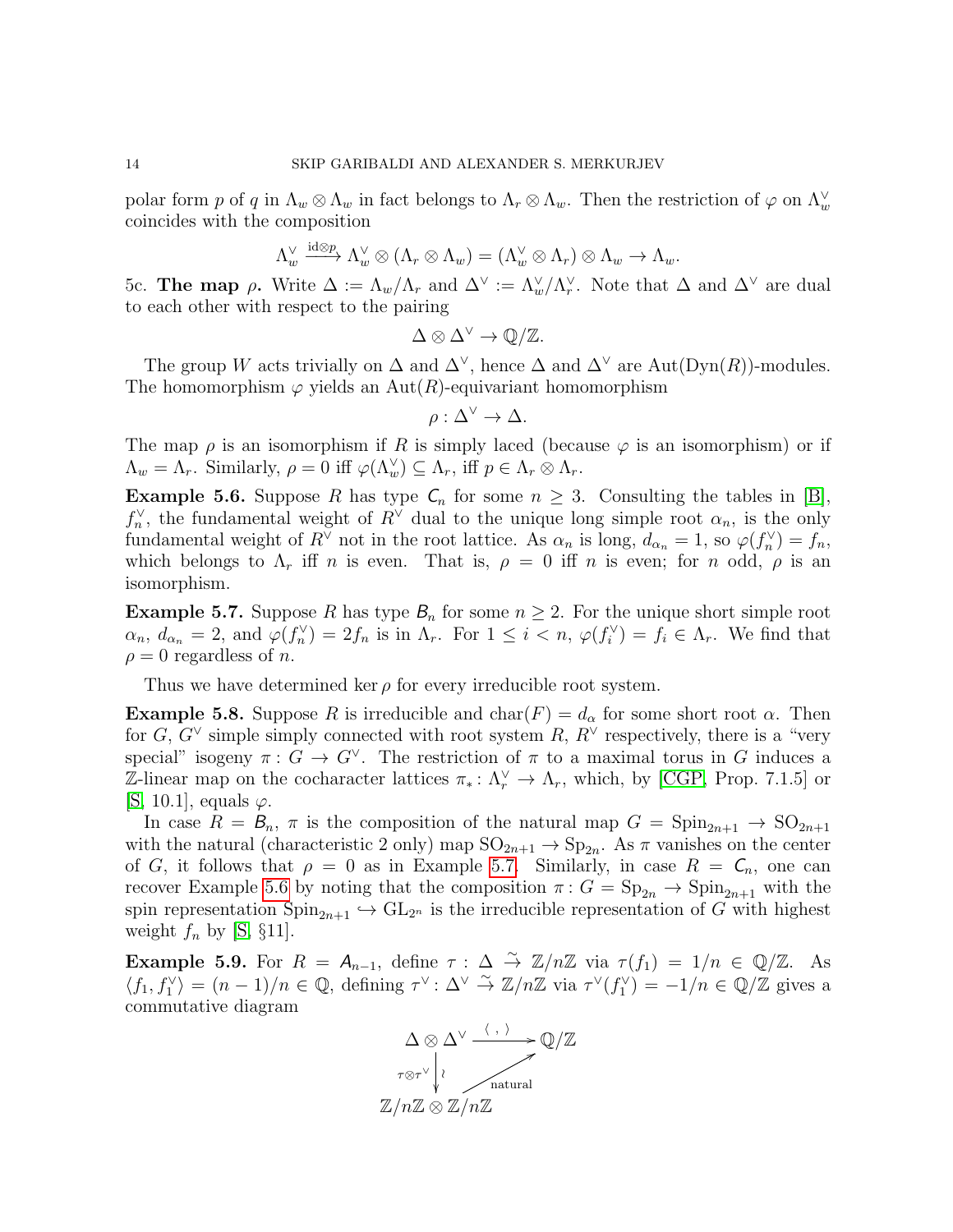polar form p of q in  $\Lambda_w \otimes \Lambda_w$  in fact belongs to  $\Lambda_r \otimes \Lambda_w$ . Then the restriction of  $\varphi$  on  $\Lambda_w^{\vee}$ coincides with the composition

$$
\Lambda_w^{\vee} \xrightarrow{\mathrm{id} \otimes p} \Lambda_w^{\vee} \otimes (\Lambda_r \otimes \Lambda_w) = (\Lambda_w^{\vee} \otimes \Lambda_r) \otimes \Lambda_w \to \Lambda_w.
$$

<span id="page-13-0"></span>5c. The map ρ. Write  $\Delta := \Lambda_w/\Lambda_r$  and  $\Delta^{\vee} := \Lambda_w/\Lambda_r^{\vee}$ . Note that  $\Delta$  and  $\Delta^{\vee}$  are dual to each other with respect to the pairing

$$
\Delta \otimes \Delta^{\vee} \to \mathbb{Q}/\mathbb{Z}.
$$

The group W acts trivially on  $\Delta$  and  $\Delta^{\vee}$ , hence  $\Delta$  and  $\Delta^{\vee}$  are Aut(Dyn(R))-modules. The homomorphism  $\varphi$  yields an Aut(R)-equivariant homomorphism

$$
\rho : \Delta^{\vee} \to \Delta.
$$

The map  $\rho$  is an isomorphism if R is simply laced (because  $\varphi$  is an isomorphism) or if  $\Lambda_w = \Lambda_r$ . Similarly,  $\rho = 0$  iff  $\varphi(\Lambda_w^{\vee}) \subseteq \Lambda_r$ , iff  $p \in \Lambda_r \otimes \Lambda_r$ .

<span id="page-13-2"></span>**Example 5.6.** Suppose R has type  $C_n$  for some  $n \geq 3$ . Consulting the tables in [\[B\]](#page-24-6),  $f_n^{\vee}$ , the fundamental weight of  $R^{\vee}$  dual to the unique long simple root  $\alpha_n$ , is the only fundamental weight of  $R^{\vee}$  not in the root lattice. As  $\alpha_n$  is long,  $d_{\alpha_n} = 1$ , so  $\varphi(f_n^{\vee}) = f_n$ , which belongs to  $\Lambda_r$  iff n is even. That is,  $\rho = 0$  iff n is even; for n odd,  $\rho$  is an isomorphism.

<span id="page-13-1"></span>**Example 5.7.** Suppose R has type  $B_n$  for some  $n \geq 2$ . For the unique short simple root  $\alpha_n, d_{\alpha_n} = 2$ , and  $\varphi(f_n^{\vee}) = 2f_n$  is in  $\Lambda_r$ . For  $1 \leq i < n$ ,  $\varphi(f_i^{\vee}) = f_i \in \Lambda_r$ . We find that  $\rho = 0$  regardless of *n*.

Thus we have determined ker  $\rho$  for every irreducible root system.

**Example 5.8.** Suppose R is irreducible and  $char(F) = d_{\alpha}$  for some short root  $\alpha$ . Then for  $G, G^{\vee}$  simple simply connected with root system  $R, R^{\vee}$  respectively, there is a "very special" isogeny  $\pi: G \to G^{\vee}$ . The restriction of  $\pi$  to a maximal torus in G induces a  $\mathbb{Z}$ -linear map on the cocharacter lattices  $\pi_* : \Lambda_r^{\vee} \to \Lambda_r$ , which, by [\[CGP,](#page-24-7) Prop. 7.1.5] or [\[S,](#page-25-8) 10.1], equals  $\varphi$ .

In case  $R = B_n$ ,  $\pi$  is the composition of the natural map  $G = \text{Spin}_{2n+1} \rightarrow \text{SO}_{2n+1}$ with the natural (characteristic 2 only) map  $SO_{2n+1} \to Sp_{2n}$ . As  $\pi$  vanishes on the center of G, it follows that  $\rho = 0$  as in Example [5.7.](#page-13-1) Similarly, in case  $R = C_n$ , one can recover Example [5.6](#page-13-2) by noting that the composition  $\pi$ :  $G = \text{Sp}_{2n} \to \text{Spin}_{2n+1}$  with the spin representation  $Spin_{2n+1} \hookrightarrow GL_{2n}$  is the irreducible representation of G with highest weight  $f_n$  by [\[S,](#page-25-8) §11].

<span id="page-13-3"></span>Example 5.9. For  $R = A_{n-1}$ , define  $\tau : \Delta \stackrel{\sim}{\to} \mathbb{Z}/n\mathbb{Z}$  via  $\tau(f_1) = 1/n \in \mathbb{Q}/\mathbb{Z}$ . As  $\langle f_1, f_1^{\vee} \rangle = (n-1)/n \in \mathbb{Q}$ , defining  $\tau^{\vee} \colon \Delta^{\vee} \stackrel{\sim}{\to} \mathbb{Z}/n\mathbb{Z}$  via  $\tau^{\vee}(f_1^{\vee}) = -1/n \in \mathbb{Q}/\mathbb{Z}$  gives a commutative diagram

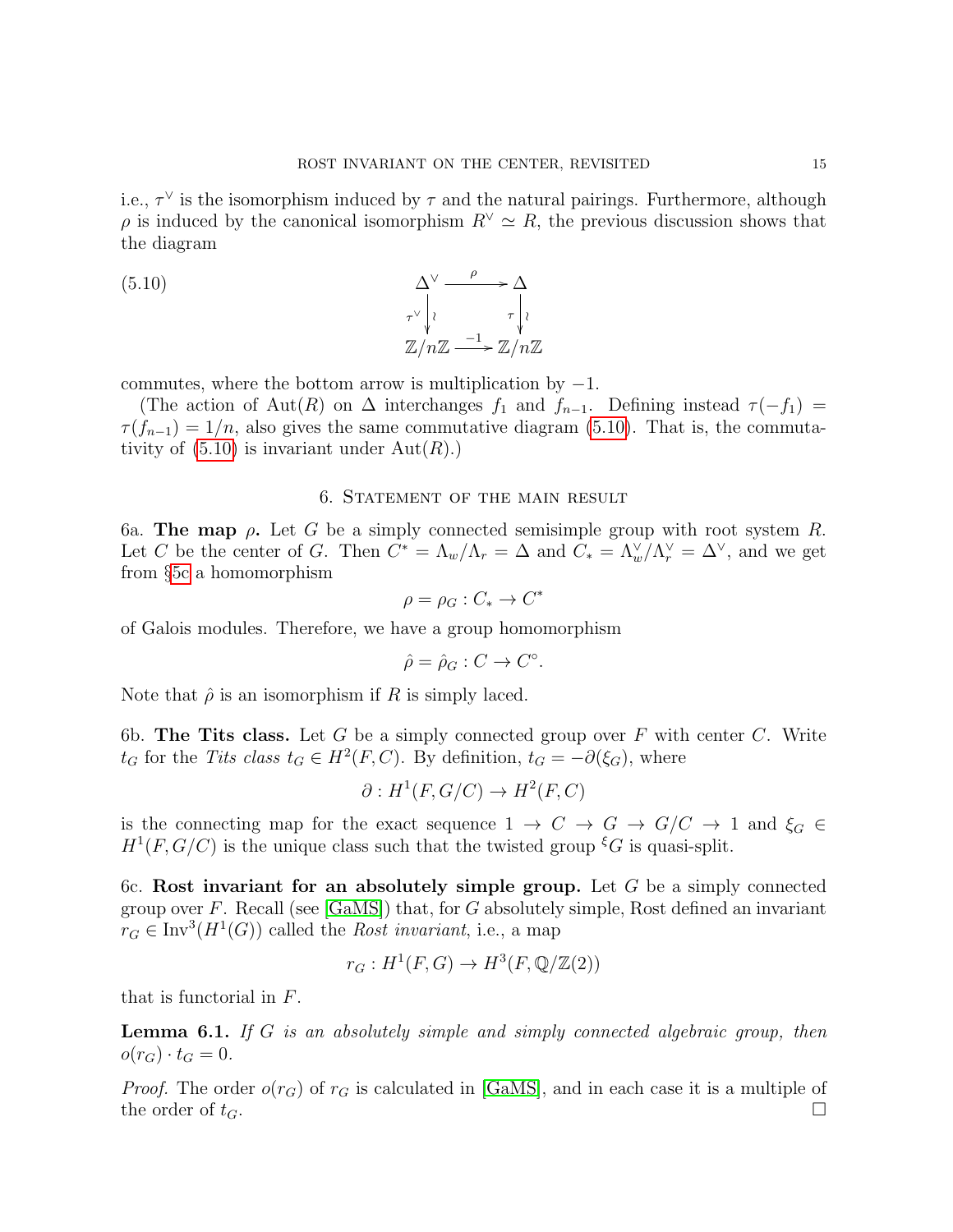i.e.,  $\tau^{\vee}$  is the isomorphism induced by  $\tau$  and the natural pairings. Furthermore, although  $\rho$  is induced by the canonical isomorphism  $R^{\vee} \simeq R$ , the previous discussion shows that the diagram

(5.10) 
$$
\Delta^{\vee} \xrightarrow[\tau \vee \tau]{} \Delta
$$

$$
\pi^{\vee} \Big| \iota \qquad \tau \Big| \iota
$$

$$
\mathbb{Z}/n\mathbb{Z} \xrightarrow{-1} \mathbb{Z}/n\mathbb{Z}
$$

commutes, where the bottom arrow is multiplication by  $-1$ .

(The action of Aut(R) on  $\Delta$  interchanges  $f_1$  and  $f_{n-1}$ . Defining instead  $\tau(-f_1)$  =  $\tau(f_{n-1}) = 1/n$ , also gives the same commutative diagram [\(5.10\)](#page-14-0). That is, the commutativity of  $(5.10)$  is invariant under  $Aut(R)$ .)

# <span id="page-14-0"></span>6. Statement of the main result

6a. The map  $\rho$ . Let G be a simply connected semisimple group with root system R. Let C be the center of G. Then  $C^* = \Lambda_w/\Lambda_r = \Delta$  and  $C_* = \Lambda_w/\Lambda_r^{\vee} = \Delta^{\vee}$ , and we get from §[5c](#page-13-0) a homomorphism

$$
\rho = \rho_G : C_* \to C^*
$$

of Galois modules. Therefore, we have a group homomorphism

$$
\hat{\rho} = \hat{\rho}_G : C \to C^\circ.
$$

Note that  $\hat{\rho}$  is an isomorphism if R is simply laced.

6b. The Tits class. Let G be a simply connected group over  $F$  with center  $C$ . Write  $t_G$  for the Tits class  $t_G \in H^2(F, C)$ . By definition,  $t_G = -\partial(\xi_G)$ , where

$$
\partial: H^1(F, G/C) \to H^2(F, C)
$$

is the connecting map for the exact sequence  $1 \to C \to G \to G/C \to 1$  and  $\xi_G \in$  $H^1(F, G/C)$  is the unique class such that the twisted group  $\zeta^G$  is quasi-split.

<span id="page-14-2"></span>6c. Rost invariant for an absolutely simple group. Let  $G$  be a simply connected group over F. Recall (see  $[GaMS]$ ) that, for G absolutely simple, Rost defined an invariant  $r_G \in \text{Inv}^3(H^1(G))$  called the *Rost invariant*, i.e., a map

$$
r_G: H^1(F, G) \to H^3(F, \mathbb{Q}/\mathbb{Z}(2))
$$

that is functorial in F.

<span id="page-14-1"></span>**Lemma 6.1.** If G is an absolutely simple and simply connected algebraic group, then  $o(r_G) \cdot t_G = 0.$ 

*Proof.* The order  $o(r_G)$  of  $r_G$  is calculated in [\[GaMS\]](#page-24-0), and in each case it is a multiple of the order of  $t_G$ .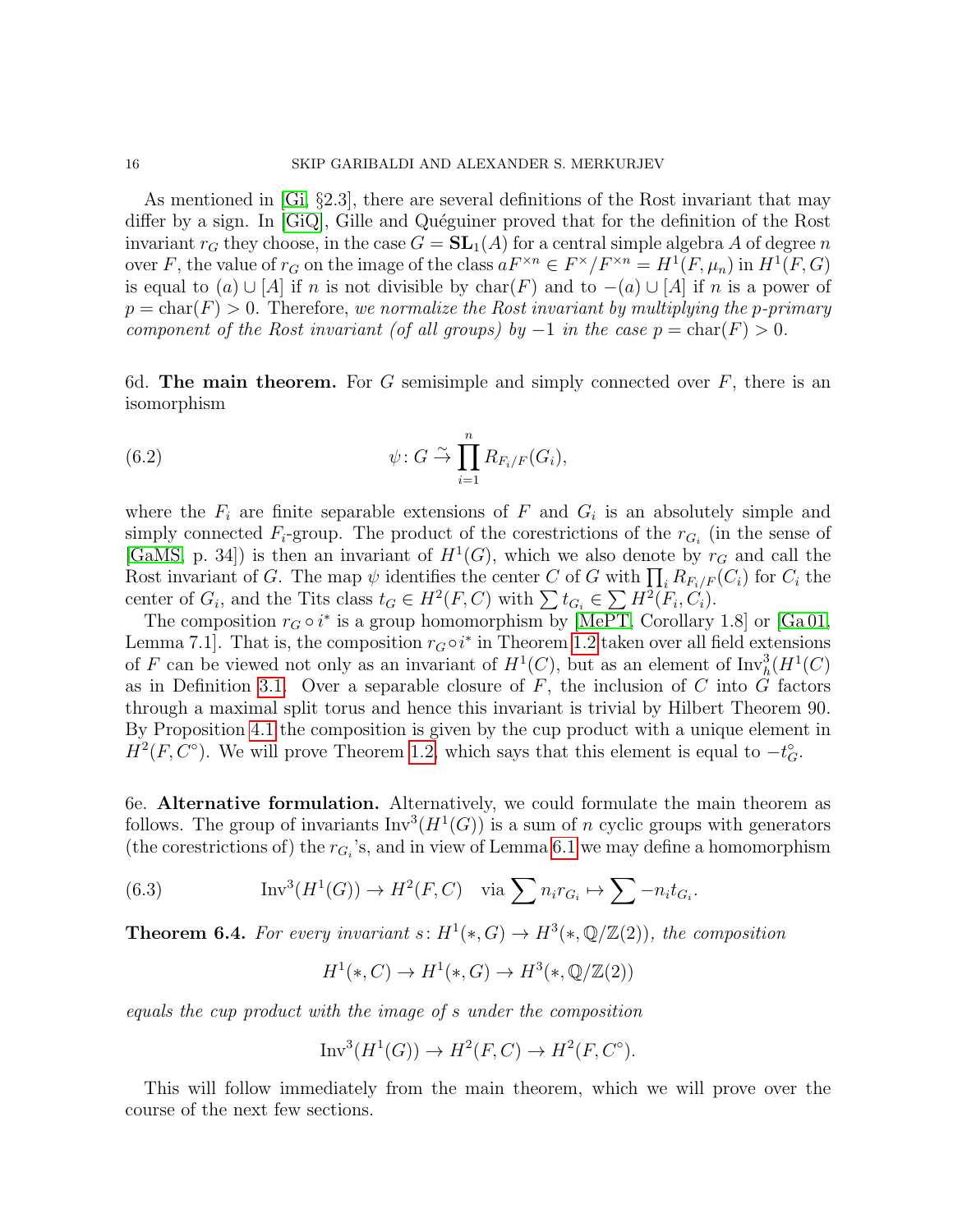As mentioned in [\[Gi,](#page-24-8) §2.3], there are several definitions of the Rost invariant that may differ by a sign. In [\[GiQ\]](#page-24-2), Gille and Quéguiner proved that for the definition of the Rost invariant  $r_G$  they choose, in the case  $G = SL_1(A)$  for a central simple algebra A of degree n over F, the value of  $r_G$  on the image of the class  $aF^{\times n} \in F^{\times}/F^{\times n} = H^1(F, \mu_n)$  in  $H^1(F, G)$ is equal to  $(a) \cup [A]$  if n is not divisible by char(F) and to  $-(a) \cup [A]$  if n is a power of  $p = \text{char}(F) > 0$ . Therefore, we normalize the Rost invariant by multiplying the p-primary component of the Rost invariant (of all groups) by  $-1$  in the case  $p = \text{char}(F) > 0$ .

6d. The main theorem. For G semisimple and simply connected over  $F$ , there is an isomorphism

(6.2) 
$$
\psi: G \overset{\sim}{\to} \prod_{i=1}^{n} R_{F_i/F}(G_i),
$$

where the  $F_i$  are finite separable extensions of F and  $G_i$  is an absolutely simple and simply connected  $F_i$ -group. The product of the corestrictions of the  $r_{G_i}$  (in the sense of [\[GaMS,](#page-24-0) p. 34]) is then an invariant of  $H^1(G)$ , which we also denote by  $r_G$  and call the Rost invariant of G. The map  $\psi$  identifies the center C of G with  $\prod_i R_{F_i/F}(C_i)$  for  $C_i$  the center of  $G_i$ , and the Tits class  $t_G \in H^2(F, C)$  with  $\sum t_{G_i} \in \sum H^2(F_i, C_i)$ .

The composition  $r_G \circ i^*$  is a group homomorphism by [\[MePT,](#page-25-0) Corollary 1.8] or [\[Ga 01,](#page-24-9) Lemma 7.1]. That is, the composition  $r_G \circ i^*$  in Theorem [1.2](#page-1-0) taken over all field extensions of F can be viewed not only as an invariant of  $H^1(C)$ , but as an element of  $\text{Inv}_{h}^3(H^1(C)$ as in Definition [3.1.](#page-6-0) Over a separable closure of  $F$ , the inclusion of  $C$  into  $G$  factors through a maximal split torus and hence this invariant is trivial by Hilbert Theorem 90. By Proposition [4.1](#page-11-1) the composition is given by the cup product with a unique element in  $H^2(F, C^{\circ})$ . We will prove Theorem [1.2,](#page-1-0) which says that this element is equal to  $-t_G^{\circ}$ .

6e. Alternative formulation. Alternatively, we could formulate the main theorem as follows. The group of invariants  $Inv^3(H^1(G))$  is a sum of n cyclic groups with generators (the corestrictions of) the  $r_{G_i}$ 's, and in view of Lemma [6.1](#page-14-1) we may define a homomorphism

(6.3) 
$$
\operatorname{Inv}^3(H^1(G)) \to H^2(F, C) \quad \text{via } \sum n_i r_{G_i} \mapsto \sum -n_i t_{G_i}.
$$

<span id="page-15-0"></span>**Theorem 6.4.** For every invariant  $s: H^1(*, G) \to H^3(*, \mathbb{Q}/\mathbb{Z}(2))$ , the composition

$$
H^1(*,C) \to H^1(*,G) \to H^3(*, \mathbb{Q}/\mathbb{Z}(2))
$$

equals the cup product with the image of s under the composition

$$
\text{Inv}^3(H^1(G)) \to H^2(F, C) \to H^2(F, C^{\circ}).
$$

This will follow immediately from the main theorem, which we will prove over the course of the next few sections.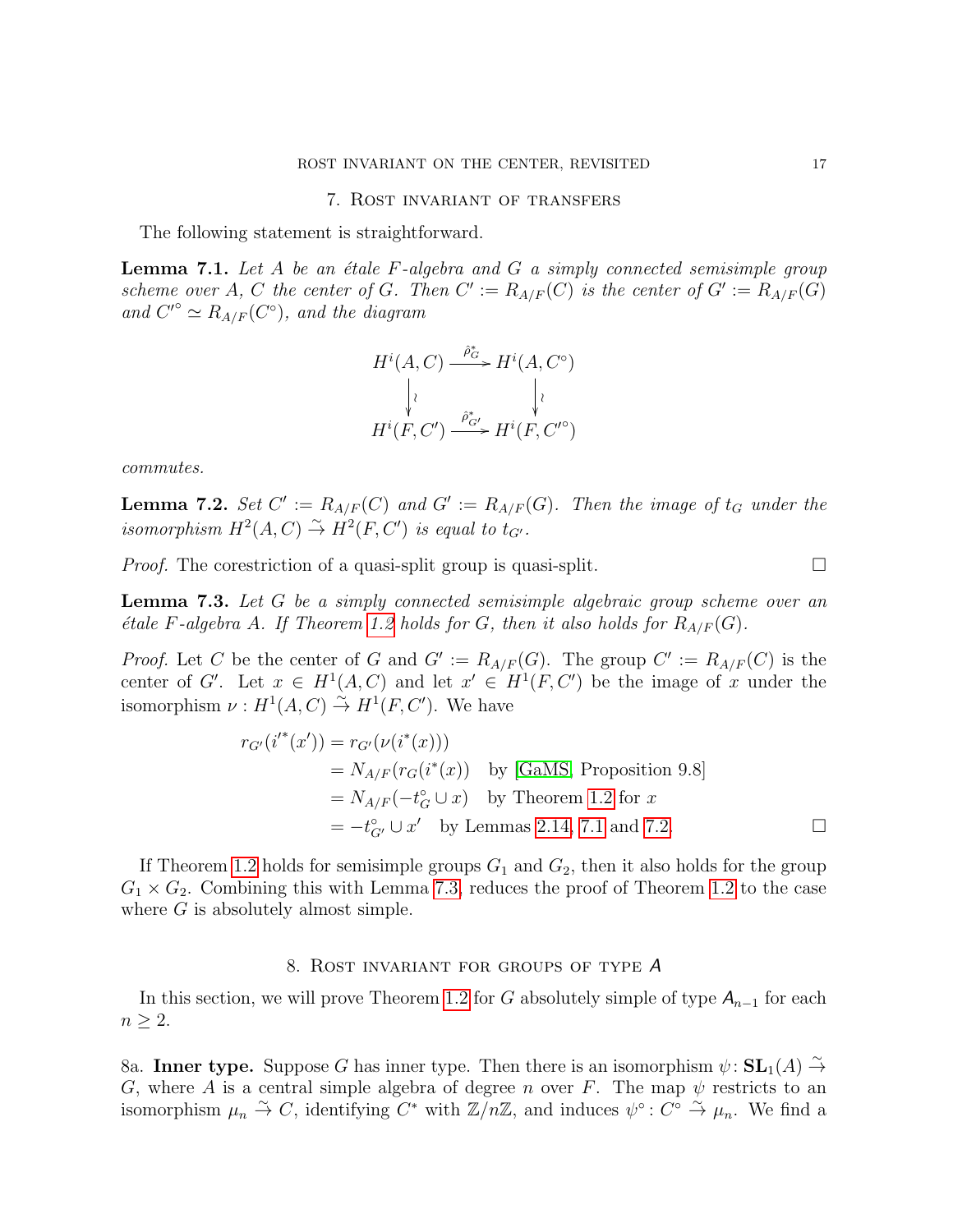#### 7. Rost invariant of transfers

The following statement is straightforward.

<span id="page-16-0"></span>**Lemma 7.1.** Let A be an étale  $F$ -algebra and  $G$  a simply connected semisimple group scheme over A, C the center of G. Then  $C' := R_{A/F}(C)$  is the center of  $G' := R_{A/F}(G)$ and  $C^{\prime\circ} \simeq R_{A/F}(C^{\circ}),$  and the diagram

$$
H^{i}(A, C) \xrightarrow{\hat{\rho}_{G}^{*}} H^{i}(A, C^{\circ})
$$

$$
\downarrow \qquad \qquad \downarrow \qquad \qquad \downarrow
$$

$$
H^{i}(F, C') \xrightarrow{\hat{\rho}_{G'}^{*}} H^{i}(F, C'^{\circ})
$$

commutes.

<span id="page-16-1"></span>**Lemma 7.2.** Set  $C' := R_{A/F}(C)$  and  $G' := R_{A/F}(G)$ . Then the image of  $t_G$  under the isomorphism  $H^2(A, C) \overset{\sim}{\rightarrow} H^2(F, C')$  is equal to  $t_{G'}$ .

*Proof.* The corestriction of a quasi-split group is quasi-split.  $\Box$ 

<span id="page-16-2"></span>**Lemma 7.3.** Let G be a simply connected semisimple algebraic group scheme over an *étale F-algebra A. If Theorem [1.2](#page-1-0) holds for G, then it also holds for*  $R_{A/F}(G)$ .

*Proof.* Let C be the center of G and  $G' := R_{A/F}(G)$ . The group  $C' := R_{A/F}(C)$  is the center of G'. Let  $x \in H^1(A, C)$  and let  $x' \in H^1(F, C')$  be the image of x under the isomorphism  $\nu: H^1(A, C) \overset{\sim}{\to} H^1(F, C')$ . We have

$$
r_{G'}(i'^*(x')) = r_{G'}(\nu(i^*(x)))
$$
  
=  $N_{A/F}(r_G(i^*(x))$  by [GAMS, Proposition 9.8]  
=  $N_{A/F}(-t_G^c \cup x)$  by Theorem 1.2 for x  
=  $-t_{G'}^c \cup x'$  by Lemmas 2.14, 7.1 and 7.2.

If Theorem [1.2](#page-1-0) holds for semisimple groups  $G_1$  and  $G_2$ , then it also holds for the group  $G_1 \times G_2$ . Combining this with Lemma [7.3,](#page-16-2) reduces the proof of Theorem [1.2](#page-1-0) to the case where  $G$  is absolutely almost simple.

## 8. Rost invariant for groups of type A

<span id="page-16-3"></span>In this section, we will prove Theorem [1.2](#page-1-0) for G absolutely simple of type  $A_{n-1}$  for each  $n \geq 2$ .

8a. Inner type. Suppose G has inner type. Then there is an isomorphism  $\psi : SL_1(A) \overset{\sim}{\to}$ G, where A is a central simple algebra of degree n over F. The map  $\psi$  restricts to an isomorphism  $\mu_n \stackrel{\sim}{\to} C$ , identifying  $C^*$  with  $\mathbb{Z}/n\mathbb{Z}$ , and induces  $\psi^{\circ} \colon C^{\circ} \stackrel{\sim}{\to} \mu_n$ . We find a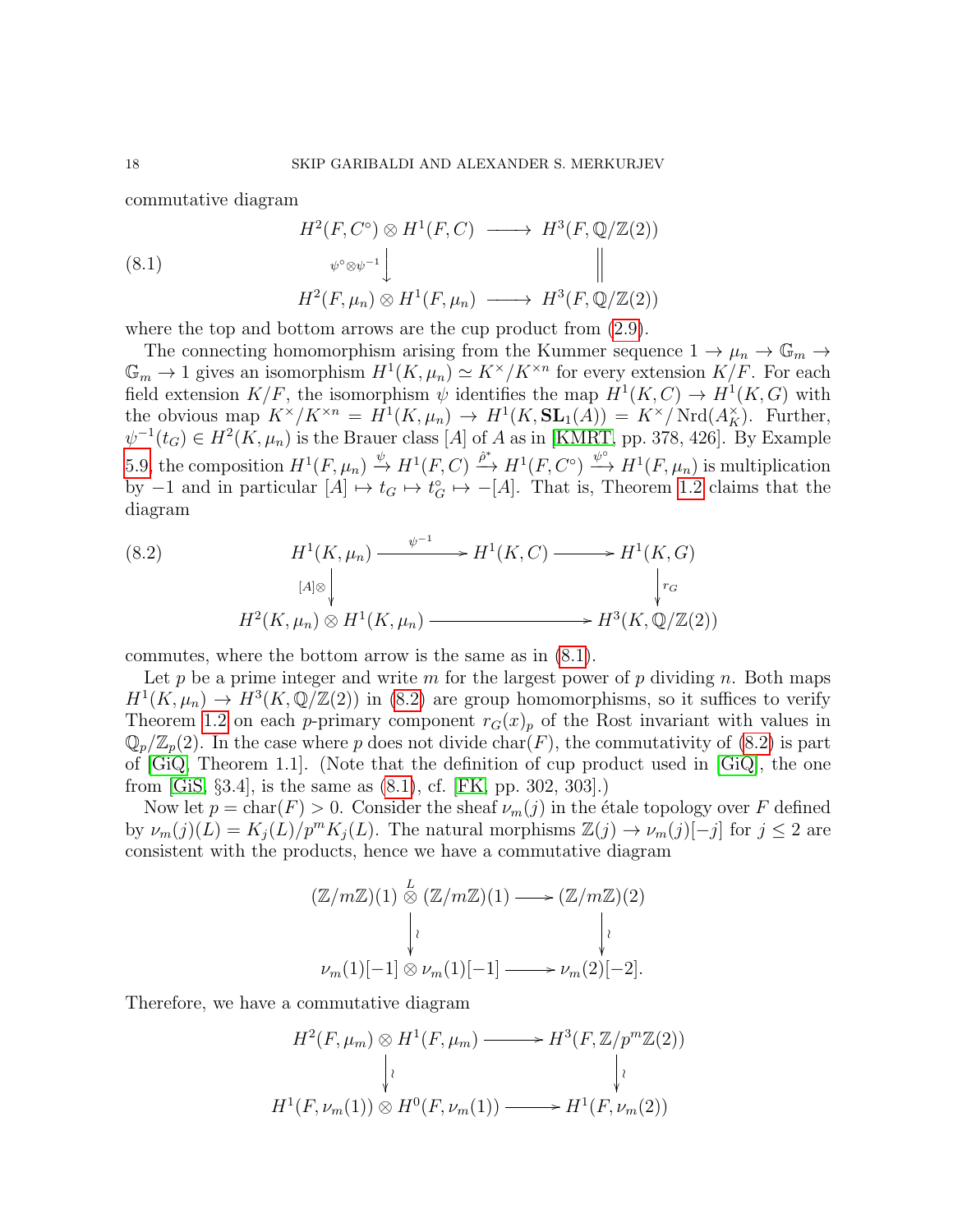commutative diagram

<span id="page-17-0"></span>(8.1)  
\n
$$
H^2(F, C^{\circ}) \otimes H^1(F, C) \longrightarrow H^3(F, \mathbb{Q}/\mathbb{Z}(2))
$$
\n
$$
\psi^{\circ} \otimes \psi^{-1} \downarrow \qquad \qquad \parallel
$$
\n
$$
H^2(F, \mu_n) \otimes H^1(F, \mu_n) \longrightarrow H^3(F, \mathbb{Q}/\mathbb{Z}(2))
$$

where the top and bottom arrows are the cup product from  $(2.9)$ .

The connecting homomorphism arising from the Kummer sequence  $1 \to \mu_n \to \mathbb{G}_m \to$  $\mathbb{G}_m \to 1$  gives an isomorphism  $H^1(K,\mu_n) \simeq K^\times/K^{\times n}$  for every extension  $K/F$ . For each field extension  $K/F$ , the isomorphism  $\psi$  identifies the map  $H^1(K, C) \to H^1(K, G)$  with the obvious map  $K^{\times}/K^{\times n} = H^1(K, \mu_n) \to H^1(K, SL_1(A)) = K^{\times}/Nrd(A_K^{\times})$ . Further,  $\psi^{-1}(t_G) \in H^2(K, \mu_n)$  is the Brauer class [A] of A as in [\[KMRT,](#page-25-9) pp. 378, 426]. By Example [5.9,](#page-13-3) the composition  $H^1(F,\mu_n) \stackrel{\psi}{\to} H^1(F,C) \stackrel{\hat{\rho}^*}{\to} H^1(F,C^{\circ}) \stackrel{\psi^{\circ}}{\to} H^1(F,\mu_n)$  is multiplication by  $-1$  and in particular  $[A] \mapsto t_G \mapsto t_G^{\circ} \mapsto -[A]$ . That is, Theorem [1.2](#page-1-0) claims that the diagram

<span id="page-17-1"></span>(8.2) 
$$
H^{1}(K, \mu_{n}) \xrightarrow{\psi^{-1}} H^{1}(K, C) \longrightarrow H^{1}(K, G)
$$

$$
H^{2}(K, \mu_{n}) \otimes H^{1}(K, \mu_{n}) \longrightarrow H^{3}(K, \mathbb{Q}/\mathbb{Z}(2))
$$

commutes, where the bottom arrow is the same as in [\(8.1\)](#page-17-0).

Let p be a prime integer and write m for the largest power of p dividing n. Both maps  $H^1(K,\mu_n) \to H^3(K,\mathbb{Q}/\mathbb{Z}(2))$  in [\(8.2\)](#page-17-1) are group homomorphisms, so it suffices to verify Theorem [1.2](#page-1-0) on each p-primary component  $r_G(x)_p$  of the Rost invariant with values in  $\mathbb{Q}_p/\mathbb{Z}_p(2)$ . In the case where p does not divide char(F), the commutativity of [\(8.2\)](#page-17-1) is part of [\[GiQ,](#page-24-2) Theorem 1.1]. (Note that the definition of cup product used in [\[GiQ\]](#page-24-2), the one from [\[GiS,](#page-24-3) §3.4], is the same as [\(8.1\)](#page-17-0), cf. [\[FK,](#page-24-4) pp. 302, 303].)

Now let  $p = \text{char}(F) > 0$ . Consider the sheaf  $\nu_m(j)$  in the étale topology over F defined by  $\nu_m(j)(L) = K_i(L)/p^m K_i(L)$ . The natural morphisms  $\mathbb{Z}(j) \to \nu_m(j)[-j]$  for  $j \leq 2$  are consistent with the products, hence we have a commutative diagram

$$
(\mathbb{Z}/m\mathbb{Z})(1) \stackrel{L}{\otimes} (\mathbb{Z}/m\mathbb{Z})(1) \longrightarrow (\mathbb{Z}/m\mathbb{Z})(2)
$$

$$
\downarrow \qquad \qquad \downarrow \qquad \qquad \downarrow \qquad \qquad \downarrow
$$

$$
\nu_m(1)[-1] \otimes \nu_m(1)[-1] \longrightarrow \nu_m(2)[-2].
$$

Therefore, we have a commutative diagram

$$
H^2(F, \mu_m) \otimes H^1(F, \mu_m) \longrightarrow H^3(F, \mathbb{Z}/p^m\mathbb{Z}(2))
$$
  
\n
$$
\downarrow \qquad \qquad \downarrow \qquad \qquad \downarrow
$$
  
\n
$$
H^1(F, \nu_m(1)) \otimes H^0(F, \nu_m(1)) \longrightarrow H^1(F, \nu_m(2))
$$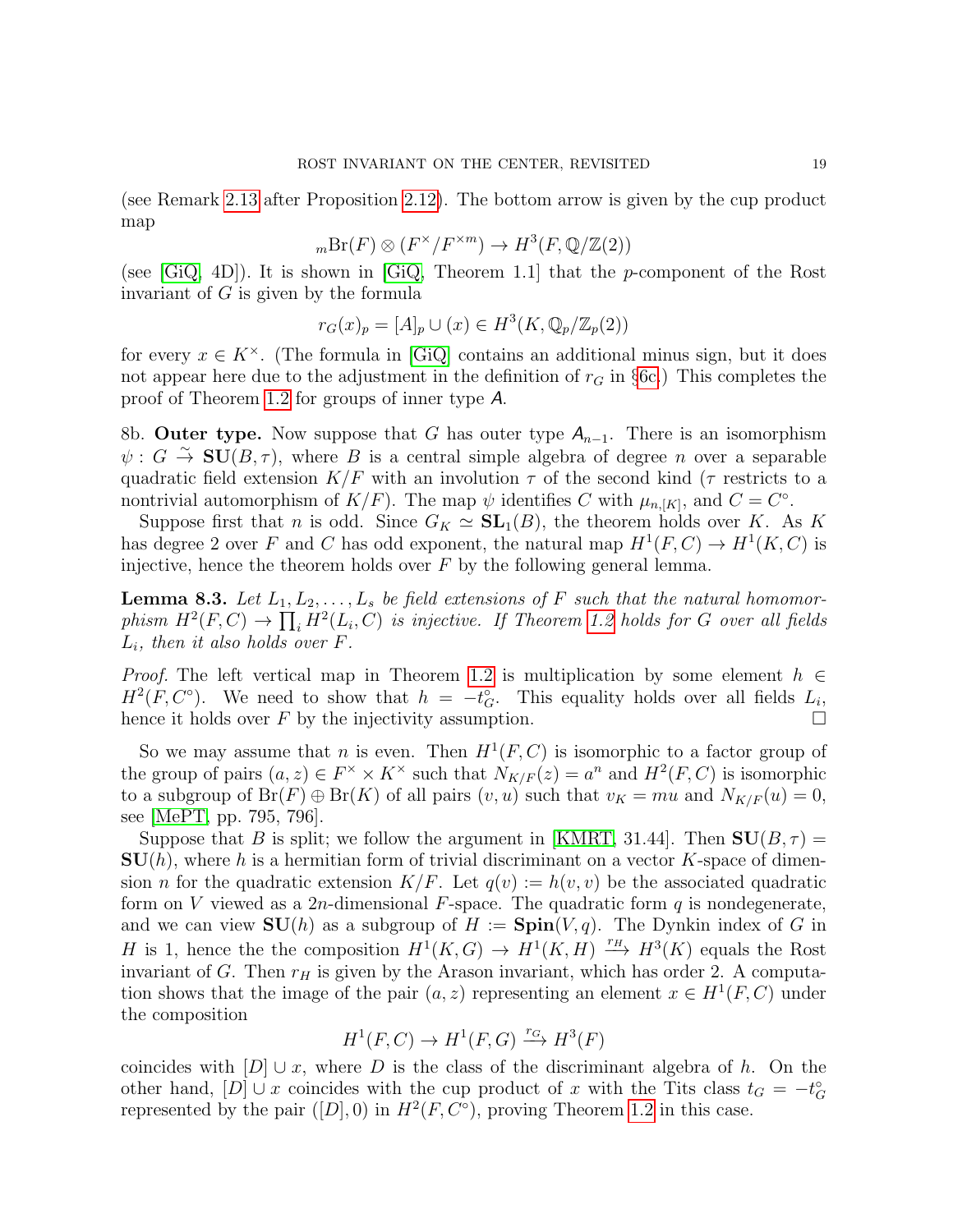(see Remark [2.13](#page-5-2) after Proposition [2.12\)](#page-4-0). The bottom arrow is given by the cup product map

$$
{}_m\mathrm{Br}(F) \otimes (F^\times/F^{\times m}) \to H^3(F, \mathbb{Q}/\mathbb{Z}(2))
$$

(see  $[GQ, 4D]$ ). It is shown in  $[GQ, Theorem 1.1]$  that the *p*-component of the Rost invariant of G is given by the formula

$$
r_G(x)_p = [A]_p \cup (x) \in H^3(K, \mathbb{Q}_p/\mathbb{Z}_p(2))
$$

for every  $x \in K^{\times}$ . (The formula in [\[GiQ\]](#page-24-2) contains an additional minus sign, but it does not appear here due to the adjustment in the definition of  $r<sub>G</sub>$  in §[6c.](#page-14-2)) This completes the proof of Theorem [1.2](#page-1-0) for groups of inner type A.

8b. Outer type. Now suppose that G has outer type  $A_{n-1}$ . There is an isomorphism  $\psi : G \stackrel{\sim}{\to} \text{SU}(B,\tau)$ , where B is a central simple algebra of degree n over a separable quadratic field extension  $K/F$  with an involution  $\tau$  of the second kind ( $\tau$  restricts to a nontrivial automorphism of  $K/F$ ). The map  $\psi$  identifies C with  $\mu_{n,[K]}$ , and  $C = C^{\circ}$ .

Suppose first that *n* is odd. Since  $G_K \simeq SL_1(B)$ , the theorem holds over K. As K has degree 2 over F and C has odd exponent, the natural map  $H^1(F, C) \to H^1(K, C)$  is injective, hence the theorem holds over  $F$  by the following general lemma.

<span id="page-18-0"></span>**Lemma 8.3.** Let  $L_1, L_2, \ldots, L_s$  be field extensions of F such that the natural homomorphism  $H^2(F, C) \to \prod_i H^2(L_i, C)$  is injective. If Theorem [1.2](#page-1-0) holds for G over all fields  $L_i$ , then it also holds over F.

*Proof.* The left vertical map in Theorem [1.2](#page-1-0) is multiplication by some element  $h \in$  $H^2(F, C^{\circ})$ . We need to show that  $h = -t_G^{\circ}$ . This equality holds over all fields  $L_i$ , hence it holds over F by the injectivity assumption.  $\Box$ 

So we may assume that *n* is even. Then  $H^1(F, C)$  is isomorphic to a factor group of the group of pairs  $(a, z) \in F^{\times} \times K^{\times}$  such that  $N_{K/F}(z) = a^{n}$  and  $H^{2}(F, C)$  is isomorphic to a subgroup of  $Br(F) \oplus Br(K)$  of all pairs  $(v, u)$  such that  $v_K = mu$  and  $N_{K/F}(u) = 0$ , see [\[MePT,](#page-25-0) pp. 795, 796].

Suppose that B is split; we follow the argument in [\[KMRT,](#page-25-9) 31.44]. Then  $SU(B, \tau)$  =  $SU(h)$ , where h is a hermitian form of trivial discriminant on a vector K-space of dimension *n* for the quadratic extension  $K/F$ . Let  $q(v) := h(v, v)$  be the associated quadratic form on V viewed as a 2n-dimensional F-space. The quadratic form q is nondegenerate, and we can view  $SU(h)$  as a subgroup of  $H := Spin(V, q)$ . The Dynkin index of G in H is 1, hence the the composition  $H^1(K, G) \to H^1(K, H) \xrightarrow{r_H} H^3(K)$  equals the Rost invariant of G. Then  $r_H$  is given by the Arason invariant, which has order 2. A computation shows that the image of the pair  $(a, z)$  representing an element  $x \in H^1(F, C)$  under the composition

$$
H^1(F, C) \to H^1(F, G) \xrightarrow{r_G} H^3(F)
$$

coincides with  $[D] \cup x$ , where D is the class of the discriminant algebra of h. On the other hand, [D]  $\cup x$  coincides with the cup product of x with the Tits class  $t_G = -t_G^{\circ}$ represented by the pair  $([D], 0)$  in  $H^2(F, C^{\circ})$ , proving Theorem [1.2](#page-1-0) in this case.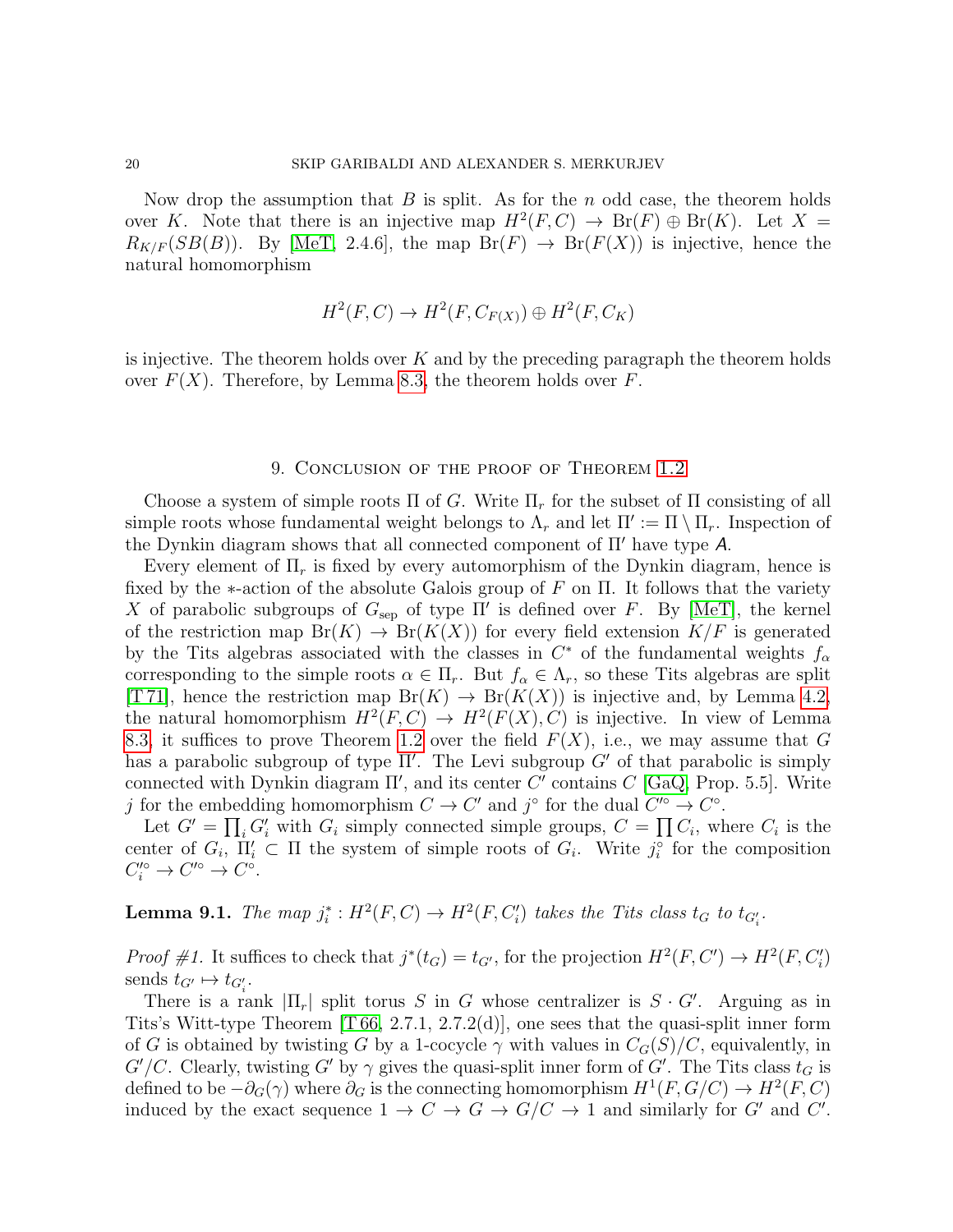Now drop the assumption that  $B$  is split. As for the  $n$  odd case, the theorem holds over K. Note that there is an injective map  $H^2(F, C) \to Br(F) \oplus Br(K)$ . Let  $X =$  $R_{K/F}(SB(B))$ . By [\[MeT,](#page-25-10) 2.4.6], the map  $Br(F) \rightarrow Br(F(X))$  is injective, hence the natural homomorphism

$$
H^2(F, C) \to H^2(F, C_{F(X)}) \oplus H^2(F, C_K)
$$

is injective. The theorem holds over  $K$  and by the preceding paragraph the theorem holds over  $F(X)$ . Therefore, by Lemma [8.3,](#page-18-0) the theorem holds over F.

#### 9. Conclusion of the proof of Theorem [1.2](#page-1-0)

<span id="page-19-1"></span>Choose a system of simple roots  $\Pi$  of G. Write  $\Pi_r$  for the subset of  $\Pi$  consisting of all simple roots whose fundamental weight belongs to  $\Lambda_r$  and let  $\Pi' := \Pi \setminus \Pi_r$ . Inspection of the Dynkin diagram shows that all connected component of  $\Pi'$  have type A.

Every element of  $\Pi_r$  is fixed by every automorphism of the Dynkin diagram, hence is fixed by the  $\ast$ -action of the absolute Galois group of F on  $\Pi$ . It follows that the variety X of parabolic subgroups of  $G_{\text{sep}}$  of type  $\Pi'$  is defined over F. By [\[MeT\]](#page-25-10), the kernel of the restriction map  $Br(K) \to Br(K(X))$  for every field extension  $K/F$  is generated by the Tits algebras associated with the classes in  $C^*$  of the fundamental weights  $f_\alpha$ corresponding to the simple roots  $\alpha \in \Pi_r$ . But  $f_\alpha \in \Lambda_r$ , so these Tits algebras are split [T71], hence the restriction map  $Br(K) \to Br(K(X))$  is injective and, by Lemma [4.2,](#page-11-2) the natural homomorphism  $H^2(F, C) \to H^2(F(X), C)$  is injective. In view of Lemma [8.3,](#page-18-0) it suffices to prove Theorem [1.2](#page-1-0) over the field  $F(X)$ , i.e., we may assume that G has a parabolic subgroup of type  $\Pi'$ . The Levi subgroup  $G'$  of that parabolic is simply connected with Dynkin diagram  $\Pi'$ , and its center C' contains C [\[GaQ,](#page-24-1) Prop. 5.5]. Write j for the embedding homomorphism  $C \to C'$  and j° for the dual  $C' \to C$ °.

Let  $G' = \prod_i G'_i$  with  $G_i$  simply connected simple groups,  $C = \prod_i C_i$ , where  $C_i$  is the center of  $G_i$ ,  $\Pi'_i \subset \Pi$  the system of simple roots of  $G_i$ . Write  $j_i^{\circ}$  for the composition  $C_i^{\prime \circ} \to C^{\prime \circ} \to C^{\circ}.$ 

<span id="page-19-0"></span>**Lemma 9.1.** The map  $j_i^*: H^2(F, C) \to H^2(F, C_i')$  takes the Tits class  $t_G$  to  $t_{G_i'}$ .

*Proof #1*. It suffices to check that  $j^*(t_G) = t_{G'}$ , for the projection  $H^2(F, C') \to H^2(F, C'_i)$ sends  $t_{G'} \mapsto t_{G'_i}$ .

There is a rank  $|\Pi_r|$  split torus S in G whose centralizer is  $S \cdot G'$ . Arguing as in Tits's Witt-type Theorem [\[T 66,](#page-25-12) 2.7.1, 2.7.2(d)], one sees that the quasi-split inner form of G is obtained by twisting G by a 1-cocycle  $\gamma$  with values in  $C_G(S)/C$ , equivalently, in  $G'/C$ . Clearly, twisting G' by  $\gamma$  gives the quasi-split inner form of G'. The Tits class  $t_G$  is defined to be  $-\partial_G(\gamma)$  where  $\partial_G$  is the connecting homomorphism  $H^1(F, G/C) \to H^2(F, C)$ induced by the exact sequence  $1 \to C \to G \to G/C \to 1$  and similarly for G' and C'.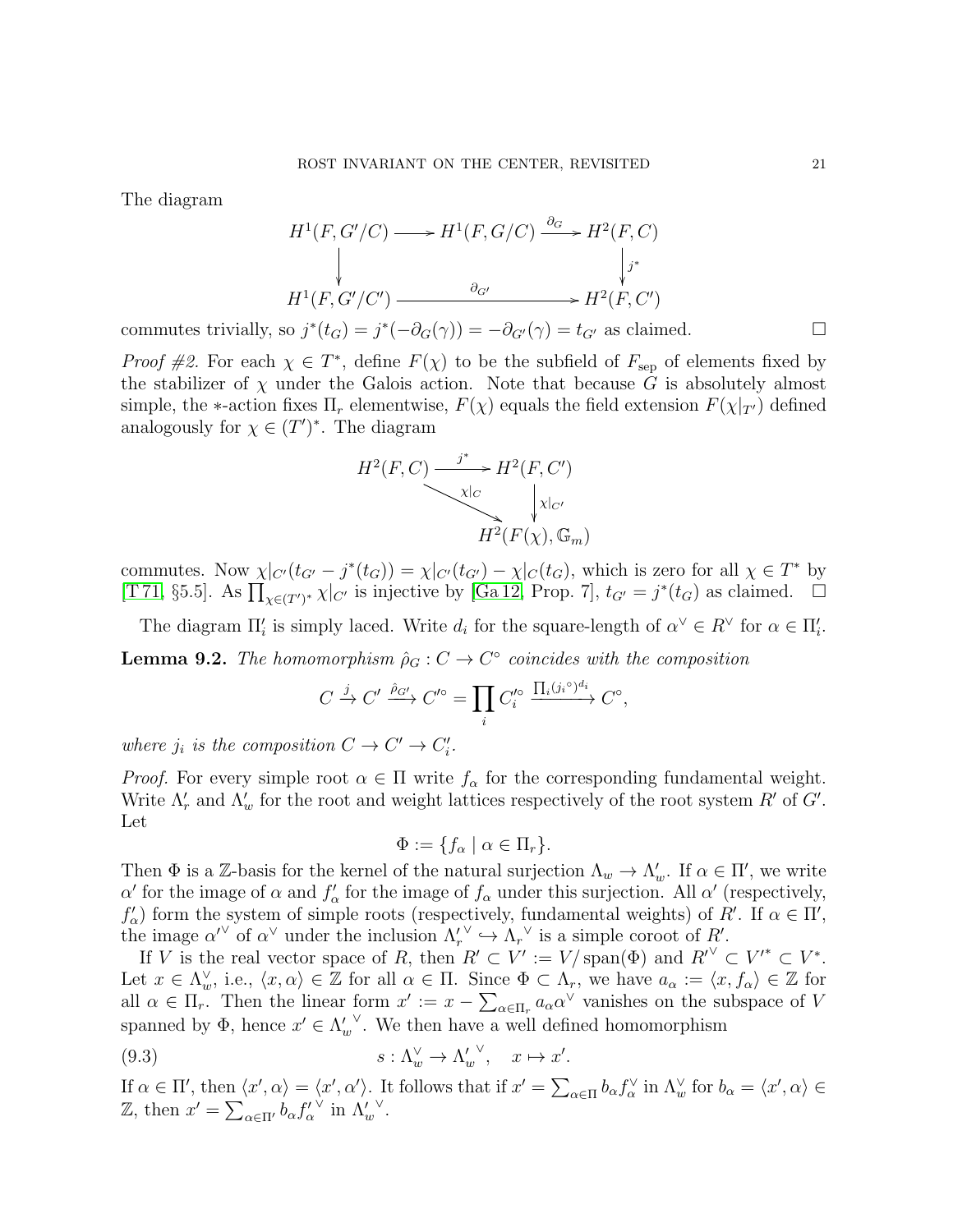The diagram

$$
H^1(F, G'/C) \longrightarrow H^1(F, G/C) \xrightarrow{\partial_G} H^2(F, C)
$$
  
\n
$$
\downarrow \qquad \qquad \downarrow j^*
$$
  
\n
$$
H^1(F, G'/C') \longrightarrow \qquad \qquad \partial_{G'} \qquad \qquad \downarrow j^*
$$
  
\n
$$
H^2(F, C')
$$

commutes trivially, so  $j^*(t_G) = j^*(-\partial_G(\gamma)) = -\partial_{G'}(\gamma) = t_{G'}$  as claimed.

*Proof #2*. For each  $\chi \in T^*$ , define  $F(\chi)$  to be the subfield of  $F_{\text{sep}}$  of elements fixed by the stabilizer of  $\chi$  under the Galois action. Note that because G is absolutely almost simple, the  $\ast$ -action fixes  $\Pi_r$  elementwise,  $F(\chi)$  equals the field extension  $F(\chi|_{T})$  defined analogously for  $\chi \in (T')^*$ . The diagram

$$
H^{2}(F, C) \xrightarrow{j^{*}} H^{2}(F, C')
$$
  
\n
$$
\downarrow \qquad \qquad \downarrow \qquad \qquad \downarrow
$$
  
\n
$$
H^{2}(F(\chi), \mathbb{G}_{m})
$$

commutes. Now  $\chi|_{C'}(t_{G'}-j^*(t_G)) = \chi|_{C'}(t_{G'}) - \chi|_{C}(t_G)$ , which is zero for all  $\chi \in T^*$  by [\[T 71,](#page-25-11) §5.5]. As  $\prod_{\chi \in (T')^*} \chi|_{C'}$  is injective by [\[Ga 12,](#page-24-5) Prop. 7],  $t_{G'} = j^*(t_G)$  as claimed.  $\Box$ 

<span id="page-20-1"></span>The diagram  $\Pi'_i$  is simply laced. Write  $d_i$  for the square-length of  $\alpha^{\vee} \in R^{\vee}$  for  $\alpha \in \Pi'_i$ . **Lemma 9.2.** The homomorphism  $\hat{\rho}_G : C \to C^{\circ}$  coincides with the composition

$$
C \xrightarrow{j} C' \xrightarrow{\hat{\rho}_{G'}} C'^{\circ} = \prod_{i} C'^{\circ}_{i} \xrightarrow{\prod_{i} (j_{i}^{\circ})^{d_{i}}} C^{\circ},
$$

where  $j_i$  is the composition  $C \to C' \to C'_i$ .

*Proof.* For every simple root  $\alpha \in \Pi$  write  $f_{\alpha}$  for the corresponding fundamental weight. Write  $\Lambda'_r$  and  $\Lambda'_w$  for the root and weight lattices respectively of the root system  $R'$  of  $G'$ . Let

<span id="page-20-0"></span>
$$
\Phi := \{ f_{\alpha} \mid \alpha \in \Pi_r \}.
$$

Then  $\Phi$  is a Z-basis for the kernel of the natural surjection  $\Lambda_w \to \Lambda'_w$ . If  $\alpha \in \Pi'$ , we write α' for the image of  $\alpha$  and  $f'_{\alpha}$  for the image of  $f_{\alpha}$  under this surjection. All α' (respectively,  $f'_{\alpha}$  form the system of simple roots (respectively, fundamental weights) of R'. If  $\alpha \in \Pi'$ , the image  $\alpha^{\prime\vee}$  of  $\alpha^{\vee}$  under the inclusion  $\Lambda'_r$  $\vee \hookrightarrow \Lambda_r^{\vee}$  is a simple coroot of R'.

If V is the real vector space of R, then  $R' \subset V' := V/\text{span}(\Phi)$  and  $R'' \subset V^* \subset V^*$ . Let  $x \in \Lambda_w^{\vee}$ , i.e.,  $\langle x, \alpha \rangle \in \mathbb{Z}$  for all  $\alpha \in \Pi$ . Since  $\Phi \subset \Lambda_r$ , we have  $a_{\alpha} := \langle x, f_{\alpha} \rangle \in \mathbb{Z}$  for all  $\alpha \in \Pi_r$ . Then the linear form  $x' := x - \sum_{\alpha \in \Pi_r} a_{\alpha} \alpha^{\vee}$  vanishes on the subspace of V spanned by  $\Phi$ , hence  $x' \in \Lambda_w'$ ∨ . We then have a well defined homomorphism

(9.3) 
$$
s: \Lambda_w^{\vee} \to {\Lambda'_w}^{\vee}, \quad x \mapsto x'.
$$

If  $\alpha \in \Pi'$ , then  $\langle x', \alpha \rangle = \langle x', \alpha' \rangle$ . It follows that if  $x' = \sum_{\alpha \in \Pi} b_{\alpha} f_{\alpha}^{\vee}$  in  $\Lambda_w^{\vee}$  for  $b_{\alpha} = \langle x', \alpha \rangle \in$ Z, then  $x' = \sum_{\alpha \in \Pi'} b_{\alpha} f'_{\alpha}$  $\vee$  in  $\Lambda'_w$ ∨ .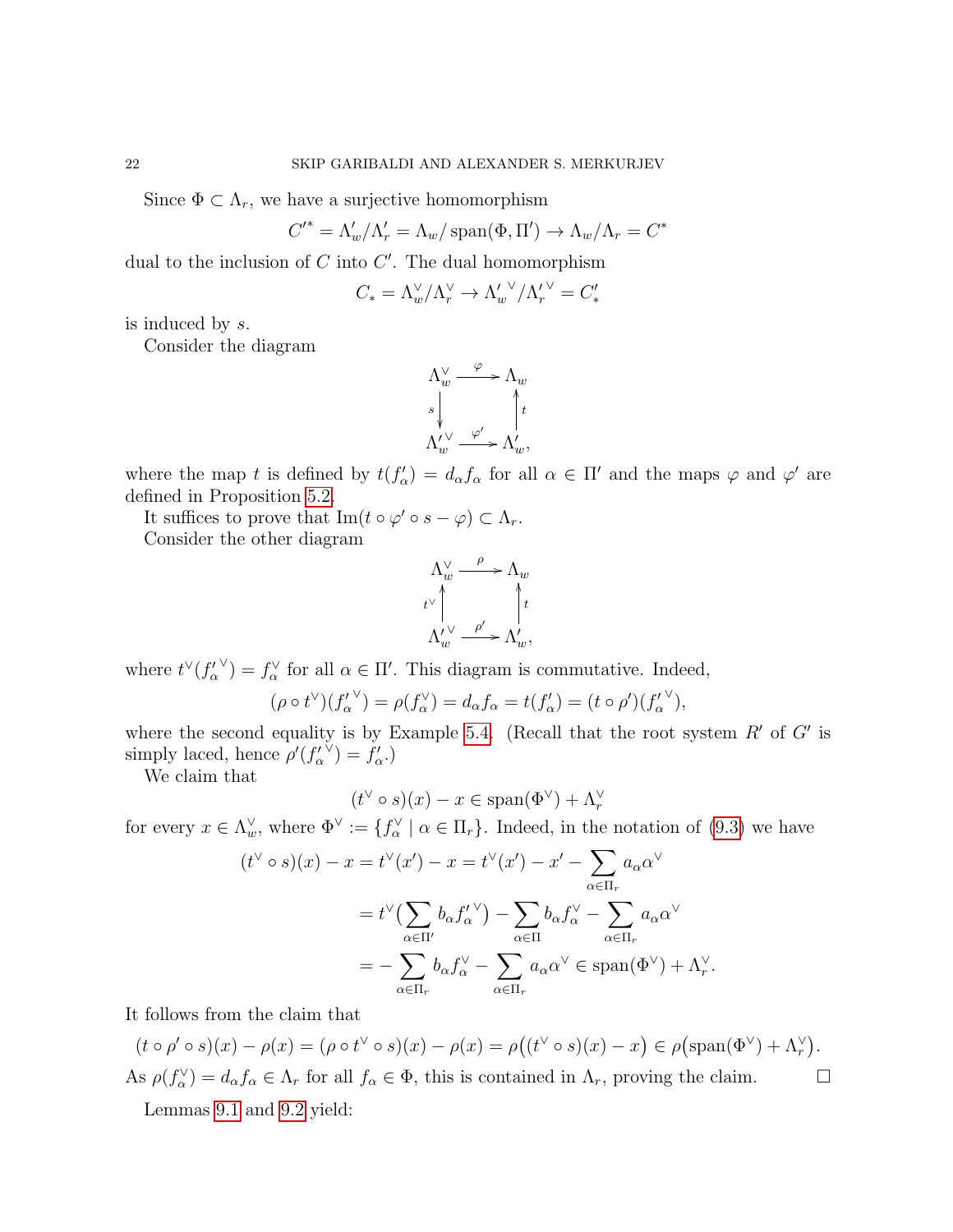Since  $\Phi \subset \Lambda_r$ , we have a surjective homomorphism

$$
{C'}^* = \Lambda_w'/\Lambda_r' = \Lambda_w / \operatorname{span}(\Phi, \Pi') \to \Lambda_w / \Lambda_r = C^*
$$

dual to the inclusion of  $C$  into  $C'$ . The dual homomorphism

$$
C_* = \Lambda_w^{\vee} / \Lambda_r^{\vee} \to {\Lambda_w'}^{\vee} / {\Lambda_r'}^{\vee} = C_*'
$$

is induced by s.

Consider the diagram

$$
\begin{array}{ccc}\Lambda_w^{\vee} & \xrightarrow{\varphi} & \Lambda_w & \\[1mm] s & & \uparrow t \\[1mm] \Lambda_w^{\prime\vee} & \xrightarrow{\varphi'} & \Lambda_w^{\prime}, \end{array}
$$

where the map t is defined by  $t(f'_\alpha) = d_\alpha f_\alpha$  for all  $\alpha \in \Pi'$  and the maps  $\varphi$  and  $\varphi'$  are defined in Proposition [5.2.](#page-12-0)

It suffices to prove that  $\text{Im}(t \circ \varphi' \circ s - \varphi) \subset \Lambda_r$ .

Consider the other diagram

$$
\begin{array}{ccc}\n\Lambda_w^{\vee} & \xrightarrow{\rho} & \Lambda_w \\
\downarrow^{\vee} & & \uparrow t \\
\Lambda_w^{\prime \vee} & \xrightarrow{\rho'} & \Lambda_w',\n\end{array}
$$

where  $t^{\vee}(f'_{\alpha})$  $(v) = f_{\alpha}^{(v)}$  for all  $\alpha \in \Pi'$ . This diagram is commutative. Indeed,

$$
(\rho \circ t^{\vee})(f_{\alpha}^{\prime})^{\vee} = \rho(f_{\alpha}^{\vee}) = d_{\alpha}f_{\alpha} = t(f_{\alpha}') = (t \circ \rho')(f_{\alpha}^{\prime})^{\vee},
$$

where the second equality is by Example [5.4.](#page-12-1) (Recall that the root system  $R'$  of  $G'$  is simply laced, hence  $\rho'(f'_{\alpha})$  $(\check{y}) = f'_{\alpha}.$ 

We claim that

$$
(t^{\vee} \circ s)(x) - x \in \text{span}(\Phi^{\vee}) + \Lambda_r^{\vee}
$$

for every  $x \in \Lambda_w^{\vee}$ , where  $\Phi^{\vee} := \{f_{\alpha}^{\vee} \mid \alpha \in \Pi_r\}$ . Indeed, in the notation of  $(9.3)$  we have

$$
(t^{\vee} \circ s)(x) - x = t^{\vee}(x') - x = t^{\vee}(x') - x' - \sum_{\alpha \in \Pi_r} a_{\alpha} \alpha^{\vee}
$$

$$
= t^{\vee} \left(\sum_{\alpha \in \Pi'} b_{\alpha} f'_{\alpha} \right) - \sum_{\alpha \in \Pi} b_{\alpha} f'_{\alpha} - \sum_{\alpha \in \Pi_r} a_{\alpha} \alpha^{\vee}
$$

$$
= - \sum_{\alpha \in \Pi_r} b_{\alpha} f'_{\alpha} - \sum_{\alpha \in \Pi_r} a_{\alpha} \alpha^{\vee} \in \text{span}(\Phi^{\vee}) + \Lambda_r^{\vee}.
$$

It follows from the claim that

 $(t \circ \rho' \circ s)(x) - \rho(x) = (\rho \circ t^{\vee} \circ s)(x) - \rho(x) = \rho((t^{\vee} \circ s)(x) - x) \in \rho(\text{span}(\Phi^{\vee}) + \Lambda_r^{\vee}).$ As  $\rho(f_{\alpha}^{\vee}) = d_{\alpha} f_{\alpha} \in \Lambda_r$  for all  $f_{\alpha} \in \Phi$ , this is contained in  $\Lambda_r$ , proving the claim.

Lemmas [9.1](#page-19-0) and [9.2](#page-20-1) yield: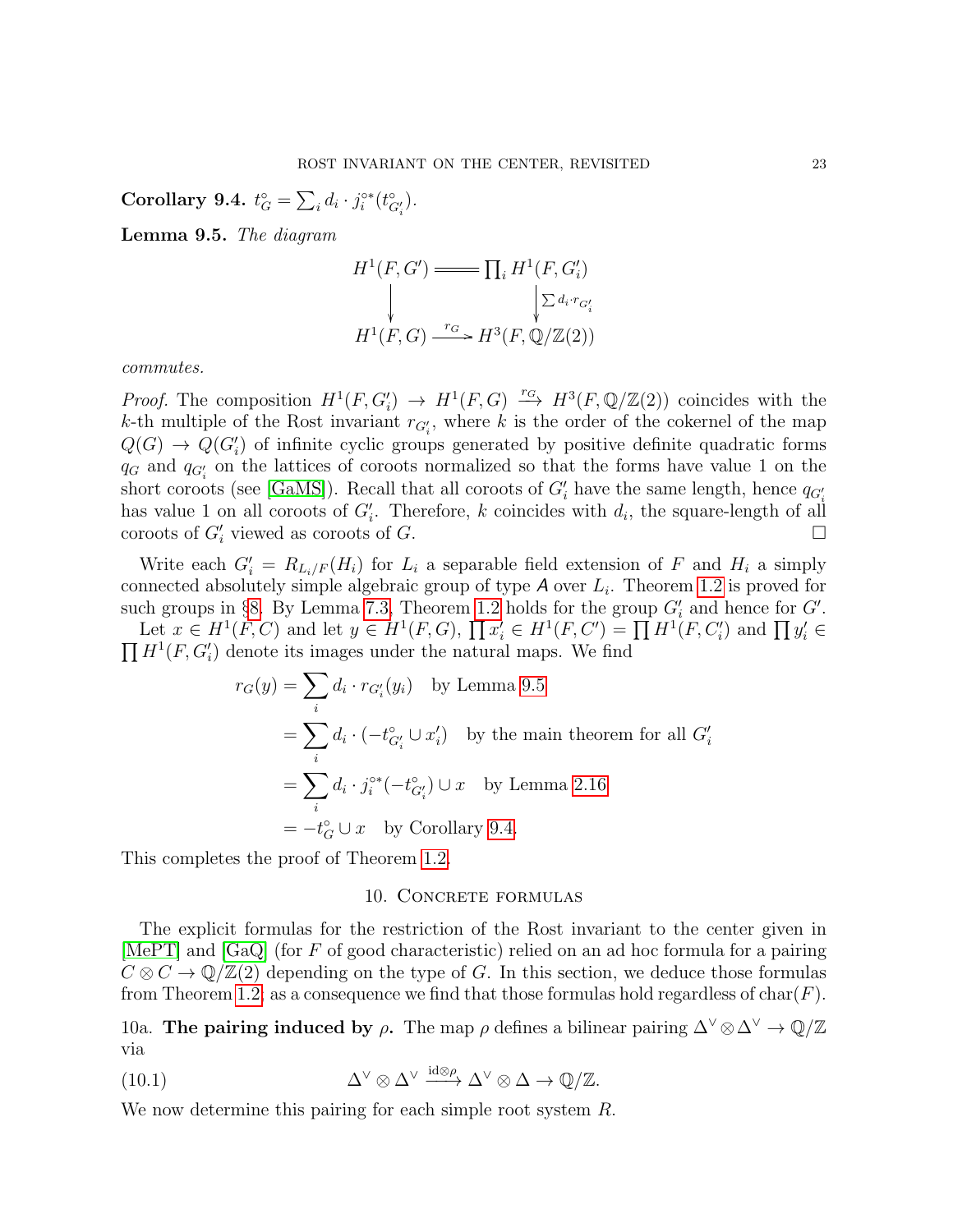<span id="page-22-1"></span>Corollary 9.4.  $t_G^{\circ} = \sum_i d_i \cdot j_i^{\circ *}(t_{G'_i}^{\circ}).$ 

<span id="page-22-0"></span>Lemma 9.5. The diagram

$$
H^1(F, G') \longrightarrow \prod_i H^1(F, G'_i)
$$
  
\n
$$
\downarrow \qquad \qquad \downarrow \qquad \qquad \downarrow \qquad \searrow d_i \cdot r_{G'_i}
$$
  
\n
$$
H^1(F, G) \xrightarrow{r_G} H^3(F, \mathbb{Q}/\mathbb{Z}(2))
$$

commutes.

*Proof.* The composition  $H^1(F, G'_i) \to H^1(F, G) \stackrel{r_G}{\longrightarrow} H^3(F, \mathbb{Q}/\mathbb{Z}(2))$  coincides with the k-th multiple of the Rost invariant  $r_{G_i'}$ , where k is the order of the cokernel of the map  $Q(G) \to Q(G'_{i})$  of infinite cyclic groups generated by positive definite quadratic forms  $q_G$  and  $q_{G_i'}$  on the lattices of coroots normalized so that the forms have value 1 on the short coroots (see [\[GaMS\]](#page-24-0)). Recall that all coroots of  $G'_{i}$  have the same length, hence  $q_{G'_{i}}$ has value 1 on all coroots of  $G_i'$ . Therefore, k coincides with  $d_i$ , the square-length of all coroots of  $G_i'$  viewed as coroots of  $G$ .

Write each  $G_i' = R_{L_i/F}(H_i)$  for  $L_i$  a separable field extension of F and  $H_i$  a simply connected absolutely simple algebraic group of type  $A$  over  $L_i$ . Theorem [1.2](#page-1-0) is proved for such groups in §[8.](#page-16-3) By Lemma [7.3,](#page-16-2) Theorem [1.2](#page-1-0) holds for the group  $G_i'$  and hence for  $G'$ .

Let  $x \in H^1(F, C)$  and let  $y \in H^1(F, G)$ ,  $\prod x'_i \in H^1(F, C') = \prod H^1(F, C'_i)$  and  $\prod y'_i \in$  $\prod H^1(F, G_i')$  denote its images under the natural maps. We find

$$
r_G(y) = \sum_i d_i \cdot r_{G'_i}(y_i) \quad \text{by Lemma 9.5}
$$
  
= 
$$
\sum_i d_i \cdot (-t_{G'_i}^{\circ} \cup x'_i) \quad \text{by the main theorem for all } G'_i
$$
  
= 
$$
\sum_i d_i \cdot j_i^{\circ*} (-t_{G'_i}^{\circ}) \cup x \quad \text{by Lemma 2.16}
$$
  
= 
$$
-t_G^{\circ} \cup x \quad \text{by Corollary 9.4.}
$$

This completes the proof of Theorem [1.2.](#page-1-0)

## <span id="page-22-2"></span>10. CONCRETE FORMULAS

The explicit formulas for the restriction of the Rost invariant to the center given in [\[MePT\]](#page-25-0) and [\[GaQ\]](#page-24-1) (for F of good characteristic) relied on an ad hoc formula for a pairing  $C \otimes C \to \mathbb{Q}/\mathbb{Z}(2)$  depending on the type of G. In this section, we deduce those formulas from Theorem [1.2;](#page-1-0) as a consequence we find that those formulas hold regardless of char( $F$ ).

<span id="page-22-3"></span>10a. The pairing induced by  $\rho$ . The map  $\rho$  defines a bilinear pairing  $\Delta^{\vee} \otimes \Delta^{\vee} \to \mathbb{Q}/\mathbb{Z}$ via

(10.1) 
$$
\Delta^{\vee} \otimes \Delta^{\vee} \xrightarrow{\text{id} \otimes \rho} \Delta^{\vee} \otimes \Delta \to \mathbb{Q}/\mathbb{Z}.
$$

We now determine this pairing for each simple root system R.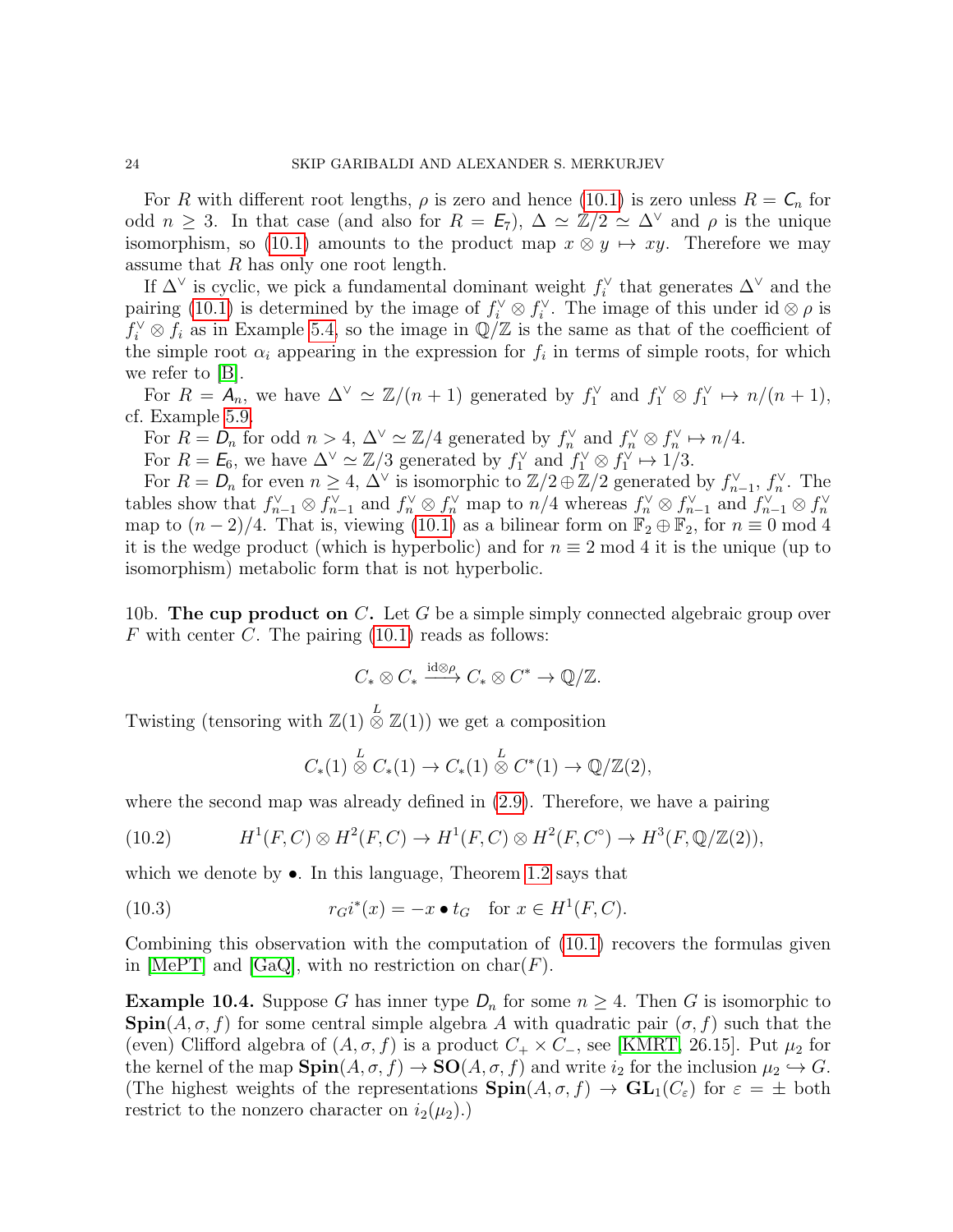For R with different root lengths,  $\rho$  is zero and hence [\(10.1\)](#page-22-2) is zero unless  $R = C_n$  for odd  $n \geq 3$ . In that case (and also for  $R = \mathcal{E}_7$ ),  $\Delta \simeq \mathbb{Z}/2 \simeq \Delta^{\vee}$  and  $\rho$  is the unique isomorphism, so [\(10.1\)](#page-22-2) amounts to the product map  $x \otimes y \mapsto xy$ . Therefore we may assume that  $R$  has only one root length.

If  $\Delta^{\vee}$  is cyclic, we pick a fundamental dominant weight  $f_i^{\vee}$  that generates  $\Delta^{\vee}$  and the pairing [\(10.1\)](#page-22-2) is determined by the image of  $f_i^{\vee} \otimes f_i^{\vee}$ . The image of this under id  $\otimes \rho$  is  $f_i^{\vee} \otimes f_i$  as in Example [5.4,](#page-12-1) so the image in  $\mathbb{Q}/\mathbb{Z}$  is the same as that of the coefficient of the simple root  $\alpha_i$  appearing in the expression for  $f_i$  in terms of simple roots, for which we refer to  $|B|$ .

For  $R = A_n$ , we have  $\Delta^{\vee} \simeq \mathbb{Z}/(n+1)$  generated by  $f_1^{\vee}$  and  $f_1^{\vee} \otimes f_1^{\vee} \mapsto n/(n+1)$ , cf. Example [5.9.](#page-13-3)

For  $R = D_n$  for odd  $n > 4$ ,  $\Delta^{\vee} \simeq \mathbb{Z}/4$  generated by  $f_n^{\vee}$  and  $f_n^{\vee} \otimes f_n^{\vee} \mapsto n/4$ .

For  $R = \mathcal{E}_6$ , we have  $\Delta^{\vee} \simeq \mathbb{Z}/3$  generated by  $f_1^{\vee}$  and  $f_1^{\vee} \otimes f_1^{\vee} \mapsto 1/3$ .

For  $R = D_n$  for even  $n \geq 4$ ,  $\Delta^{\vee}$  is isomorphic to  $\mathbb{Z}/2 \oplus \mathbb{Z}/2$  generated by  $f_{n-1}^{\vee}$ ,  $f_n^{\vee}$ . The tables show that  $f_{n-1}^{\vee} \otimes f_{n-1}^{\vee}$  and  $f_n^{\vee} \otimes f_n^{\vee}$  map to  $n/4$  whereas  $f_n^{\vee} \otimes f_{n-1}^{\vee}$  and  $f_{n-1}^{\vee} \otimes f_n^{\vee}$ <br>map to  $(n-2)/4$ . That is, viewing [\(10.1\)](#page-22-2) as a bilinear form on  $\mathbb{F}_2 \oplus \mathbb{F}_$ it is the wedge product (which is hyperbolic) and for  $n \equiv 2 \mod 4$  it is the unique (up to isomorphism) metabolic form that is not hyperbolic.

10b. The cup product on C. Let G be a simple simply connected algebraic group over F with center C. The pairing  $(10.1)$  reads as follows:

$$
C_* \otimes C_* \xrightarrow{\mathrm{id} \otimes \rho} C_* \otimes C^* \to \mathbb{Q}/\mathbb{Z}.
$$

Twisting (tensoring with  $\mathbb{Z}(1) \overset{L}{\otimes} \mathbb{Z}(1)$ ) we get a composition

<span id="page-23-0"></span>
$$
C_*(1) \stackrel{L}{\otimes} C_*(1) \to C_*(1) \stackrel{L}{\otimes} C^*(1) \to \mathbb{Q}/\mathbb{Z}(2),
$$

where the second map was already defined in  $(2.9)$ . Therefore, we have a pairing

(10.2) 
$$
H^1(F, C) \otimes H^2(F, C) \to H^1(F, C) \otimes H^2(F, C^{\circ}) \to H^3(F, \mathbb{Q}/\mathbb{Z}(2)),
$$

which we denote by  $\bullet$ . In this language, Theorem [1.2](#page-1-0) says that

(10.3) 
$$
r_{G}i^{*}(x) = -x \bullet t_{G} \text{ for } x \in H^{1}(F, C).
$$

Combining this observation with the computation of [\(10.1\)](#page-22-2) recovers the formulas given in [\[MePT\]](#page-25-0) and [\[GaQ\]](#page-24-1), with no restriction on  $char(F)$ .

**Example 10.4.** Suppose G has inner type  $D_n$  for some  $n \geq 4$ . Then G is isomorphic to  $\text{Spin}(A,\sigma,f)$  for some central simple algebra A with quadratic pair  $(\sigma,f)$  such that the (even) Clifford algebra of  $(A, \sigma, f)$  is a product  $C_+ \times C_-\$ , see [\[KMRT,](#page-25-9) 26.15]. Put  $\mu_2$  for the kernel of the map  $\text{Spin}(A, \sigma, f) \to \text{SO}(A, \sigma, f)$  and write  $i_2$  for the inclusion  $\mu_2 \hookrightarrow G$ . (The highest weights of the representations  $\text{Spin}(A,\sigma,f) \to \text{GL}_1(C_{\varepsilon})$  for  $\varepsilon = \pm$  both restrict to the nonzero character on  $i_2(\mu_2)$ .)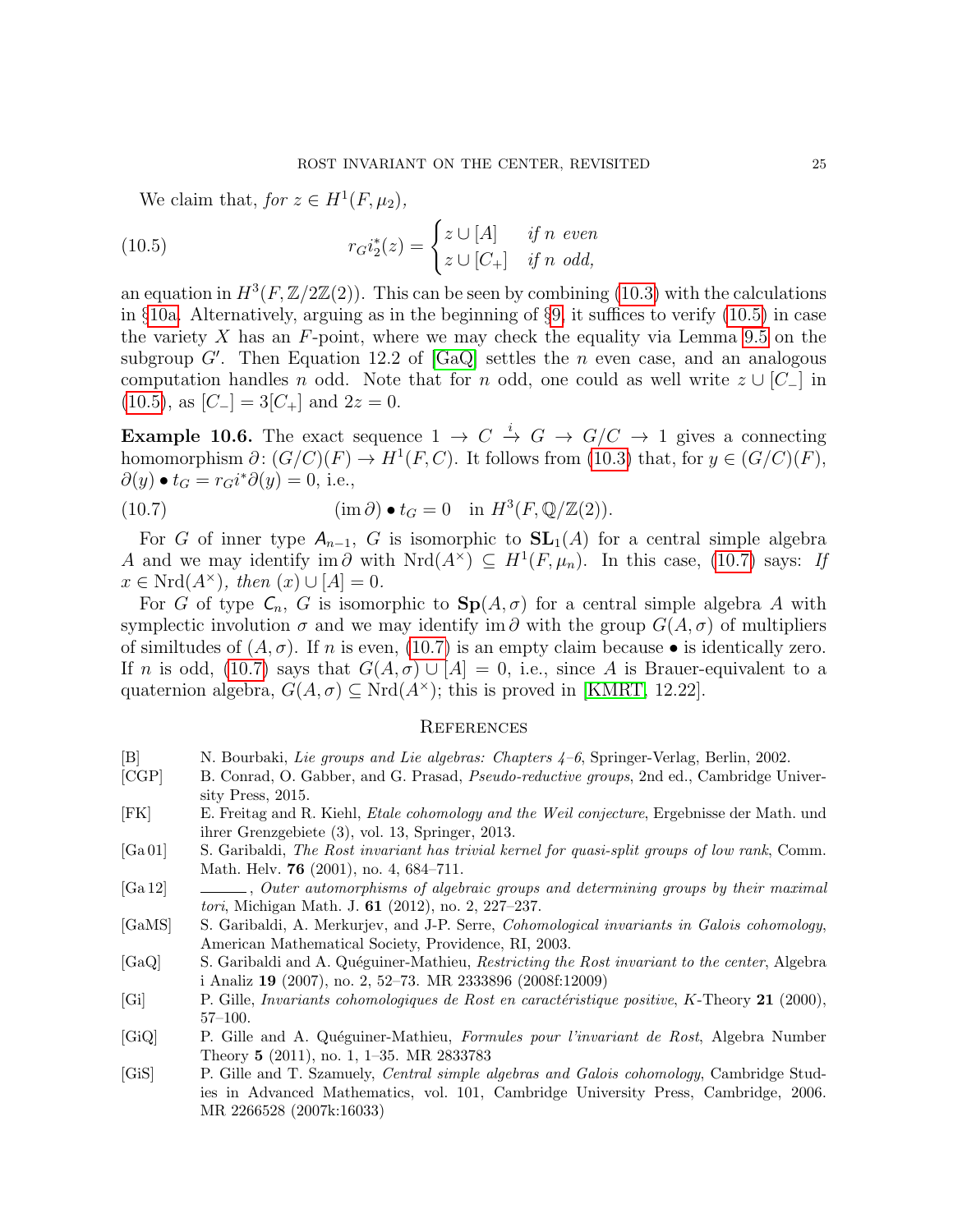<span id="page-24-10"></span>We claim that, for  $z \in H^1(F, \mu_2)$ ,

(10.5) 
$$
r_{G}i_{2}^{*}(z) = \begin{cases} z \cup [A] & \text{if } n \text{ even} \\ z \cup [C_{+}] & \text{if } n \text{ odd,} \end{cases}
$$

an equation in  $H^3(F, \mathbb{Z}/2\mathbb{Z}(2))$ . This can be seen by combining [\(10.3\)](#page-23-0) with the calculations in §[10a.](#page-22-3) Alternatively, arguing as in the beginning of §[9,](#page-19-1) it suffices to verify [\(10.5\)](#page-24-10) in case the variety X has an  $F$ -point, where we may check the equality via Lemma [9.5](#page-22-0) on the subgroup  $G'$ . Then Equation 12.2 of [\[GaQ\]](#page-24-1) settles the n even case, and an analogous computation handles n odd. Note that for n odd, one could as well write  $z \cup [C_-\]$  in [\(10.5\)](#page-24-10), as  $[C_{-}]=3[C_{+}]$  and  $2z=0$ .

**Example 10.6.** The exact sequence  $1 \rightarrow C \stackrel{i}{\rightarrow} G \rightarrow G/C \rightarrow 1$  gives a connecting homomorphism  $\partial: (G/C)(F) \to H^1(F, C)$ . It follows from [\(10.3\)](#page-23-0) that, for  $y \in (G/C)(F)$ ,  $\partial(y) \bullet t_G = r_G i^* \partial(y) = 0$ , i.e.,

<span id="page-24-11"></span>(10.7) 
$$
(\text{im }\partial) \bullet t_G = 0 \quad \text{in } H^3(F, \mathbb{Q}/\mathbb{Z}(2)).
$$

For G of inner type  $A_{n-1}$ , G is isomorphic to  $SL_1(A)$  for a central simple algebra A and we may identify im  $\partial$  with  $Nrd(A^{\times}) \subseteq H^1(F,\mu_n)$ . In this case, [\(10.7\)](#page-24-11) says: If  $x \in Nrd(A^{\times}), \text{ then } (x) \cup [A] = 0.$ 

For G of type  $C_n$ , G is isomorphic to  $\text{Sp}(A,\sigma)$  for a central simple algebra A with symplectic involution  $\sigma$  and we may identify im  $\partial$  with the group  $G(A, \sigma)$  of multipliers of similtudes of  $(A, \sigma)$ . If n is even, [\(10.7\)](#page-24-11) is an empty claim because • is identically zero. If n is odd, [\(10.7\)](#page-24-11) says that  $G(A, \sigma) \cup [A] = 0$ , i.e., since A is Brauer-equivalent to a quaternion algebra,  $G(A, \sigma) \subseteq Nrd(A^{\times})$ ; this is proved in [\[KMRT,](#page-25-9) 12.22].

# **REFERENCES**

- <span id="page-24-6"></span>[B] N. Bourbaki, Lie groups and Lie algebras: Chapters 4–6, Springer-Verlag, Berlin, 2002.
- <span id="page-24-7"></span>[CGP] B. Conrad, O. Gabber, and G. Prasad, Pseudo-reductive groups, 2nd ed., Cambridge University Press, 2015.
- <span id="page-24-4"></span>[FK] E. Freitag and R. Kiehl, Etale cohomology and the Weil conjecture, Ergebnisse der Math. und ihrer Grenzgebiete (3), vol. 13, Springer, 2013.
- <span id="page-24-9"></span>[Ga 01] S. Garibaldi, The Rost invariant has trivial kernel for quasi-split groups of low rank, Comm. Math. Helv. **76** (2001), no. 4, 684–711.
- <span id="page-24-5"></span>[Ga 12] , Outer automorphisms of algebraic groups and determining groups by their maximal tori, Michigan Math. J. 61 (2012), no. 2, 227–237.
- <span id="page-24-0"></span>[GaMS] S. Garibaldi, A. Merkurjev, and J-P. Serre, Cohomological invariants in Galois cohomology, American Mathematical Society, Providence, RI, 2003.
- <span id="page-24-1"></span>[GaQ] S. Garibaldi and A. Quéguiner-Mathieu, Restricting the Rost invariant to the center, Algebra i Analiz 19 (2007), no. 2, 52–73. MR 2333896 (2008f:12009)
- <span id="page-24-8"></span>[Gi] P. Gille, *Invariants cohomologiques de Rost en caractéristique positive, K*-Theory 21 (2000), 57–100.
- <span id="page-24-2"></span>[GiQ] P. Gille and A. Quéguiner-Mathieu, Formules pour l'invariant de Rost, Algebra Number Theory 5 (2011), no. 1, 1–35. MR 2833783
- <span id="page-24-3"></span>[GiS] P. Gille and T. Szamuely, Central simple algebras and Galois cohomology, Cambridge Studies in Advanced Mathematics, vol. 101, Cambridge University Press, Cambridge, 2006. MR 2266528 (2007k:16033)